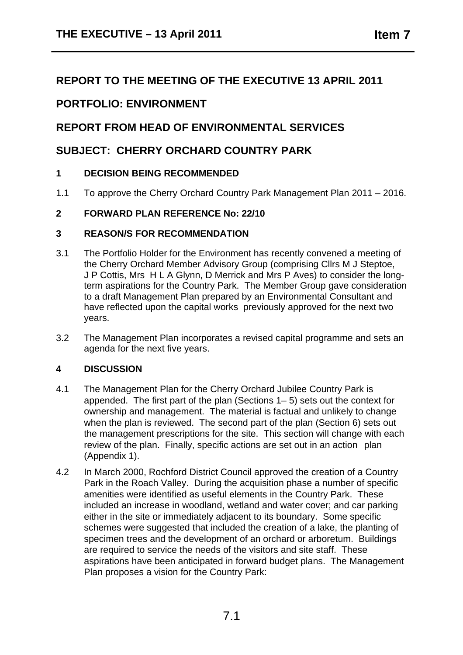# **REPORT TO THE MEETING OF THE EXECUTIVE 13 APRIL 2011**

# **PORTFOLIO: ENVIRONMENT**

# **REPORT FROM HEAD OF ENVIRONMENTAL SERVICES**

# **SUBJECT: CHERRY ORCHARD COUNTRY PARK**

#### **1 DECISION BEING RECOMMENDED**

1.1 To approve the Cherry Orchard Country Park Management Plan 2011 – 2016.

#### **2 FORWARD PLAN REFERENCE No: 22/10**

#### **3 REASON/S FOR RECOMMENDATION**

- 3.1 The Portfolio Holder for the Environment has recently convened a meeting of the Cherry Orchard Member Advisory Group (comprising Cllrs M J Steptoe, J P Cottis, Mrs H L A Glynn, D Merrick and Mrs P Aves) to consider the longterm aspirations for the Country Park. The Member Group gave consideration to a draft Management Plan prepared by an Environmental Consultant and have reflected upon the capital works previously approved for the next two years.
- 3.2 The Management Plan incorporates a revised capital programme and sets an agenda for the next five years.

#### **4 DISCUSSION**

- 4.1 The Management Plan for the Cherry Orchard Jubilee Country Park is appended. The first part of the plan (Sections 1– 5) sets out the context for ownership and management. The material is factual and unlikely to change when the plan is reviewed. The second part of the plan (Section 6) sets out the management prescriptions for the site. This section will change with each review of the plan. Finally, specific actions are set out in an action plan (Appendix 1).
- 4.2 In March 2000, Rochford District Council approved the creation of a Country Park in the Roach Valley. During the acquisition phase a number of specific amenities were identified as useful elements in the Country Park. These included an increase in woodland, wetland and water cover; and car parking either in the site or immediately adjacent to its boundary. Some specific schemes were suggested that included the creation of a lake, the planting of specimen trees and the development of an orchard or arboretum. Buildings are required to service the needs of the visitors and site staff. These aspirations have been anticipated in forward budget plans. The Management Plan proposes a vision for the Country Park: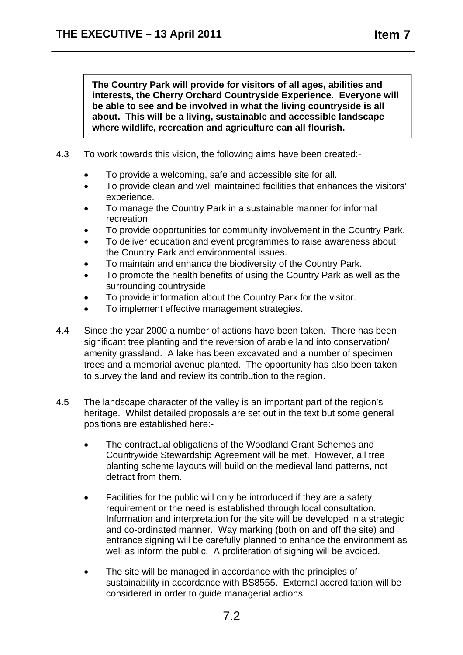**The Country Park will provide for visitors of all ages, abilities and interests, the Cherry Orchard Countryside Experience. Everyone will be able to see and be involved in what the living countryside is all about. This will be a living, sustainable and accessible landscape where wildlife, recreation and agriculture can all flourish.** 

- 4.3 To work towards this vision, the following aims have been created:-
	- To provide a welcoming, safe and accessible site for all.
	- To provide clean and well maintained facilities that enhances the visitors' experience.
	- To manage the Country Park in a sustainable manner for informal recreation.
	- To provide opportunities for community involvement in the Country Park.
	- To deliver education and event programmes to raise awareness about the Country Park and environmental issues.
	- To maintain and enhance the biodiversity of the Country Park.
	- To promote the health benefits of using the Country Park as well as the surrounding countryside.
	- To provide information about the Country Park for the visitor.
	- To implement effective management strategies.
- 4.4 Since the year 2000 a number of actions have been taken. There has been significant tree planting and the reversion of arable land into conservation/ amenity grassland. A lake has been excavated and a number of specimen trees and a memorial avenue planted. The opportunity has also been taken to survey the land and review its contribution to the region.
- 4.5 The landscape character of the valley is an important part of the region's heritage. Whilst detailed proposals are set out in the text but some general positions are established here:-
	- The contractual obligations of the Woodland Grant Schemes and Countrywide Stewardship Agreement will be met. However, all tree planting scheme layouts will build on the medieval land patterns, not detract from them.
	- Facilities for the public will only be introduced if they are a safety requirement or the need is established through local consultation. Information and interpretation for the site will be developed in a strategic and co-ordinated manner. Way marking (both on and off the site) and entrance signing will be carefully planned to enhance the environment as well as inform the public. A proliferation of signing will be avoided.
	- The site will be managed in accordance with the principles of sustainability in accordance with BS8555. External accreditation will be considered in order to guide managerial actions.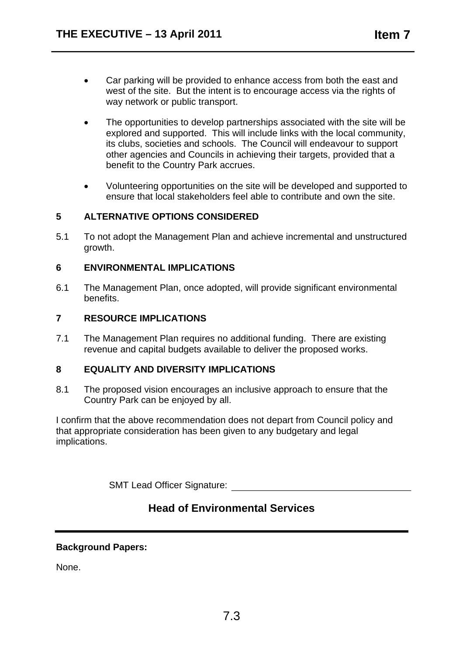- Car parking will be provided to enhance access from both the east and west of the site. But the intent is to encourage access via the rights of way network or public transport.
- The opportunities to develop partnerships associated with the site will be explored and supported. This will include links with the local community, its clubs, societies and schools. The Council will endeavour to support other agencies and Councils in achieving their targets, provided that a benefit to the Country Park accrues.
- Volunteering opportunities on the site will be developed and supported to ensure that local stakeholders feel able to contribute and own the site.

#### **5 ALTERNATIVE OPTIONS CONSIDERED**

5.1 To not adopt the Management Plan and achieve incremental and unstructured growth.

#### **6 ENVIRONMENTAL IMPLICATIONS**

6.1 The Management Plan, once adopted, will provide significant environmental benefits.

#### **7 RESOURCE IMPLICATIONS**

7.1 The Management Plan requires no additional funding. There are existing revenue and capital budgets available to deliver the proposed works.

#### **8 EQUALITY AND DIVERSITY IMPLICATIONS**

8.1 The proposed vision encourages an inclusive approach to ensure that the Country Park can be enjoyed by all.

I confirm that the above recommendation does not depart from Council policy and that appropriate consideration has been given to any budgetary and legal implications.

SMT Lead Officer Signature:

# **Head of Environmental Services**

#### **Background Papers:**

None.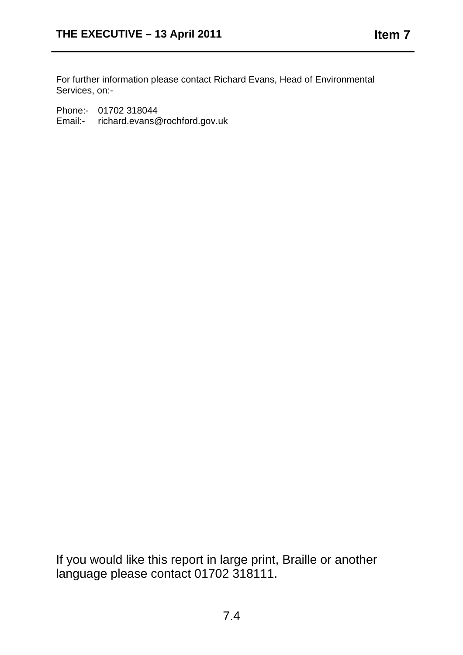For further information please contact Richard Evans, Head of Environmental Services, on:-

Phone:- 01702 318044 Email:- richard.evans@rochford.gov.uk

If you would like this report in large print, Braille or another language please contact 01702 318111.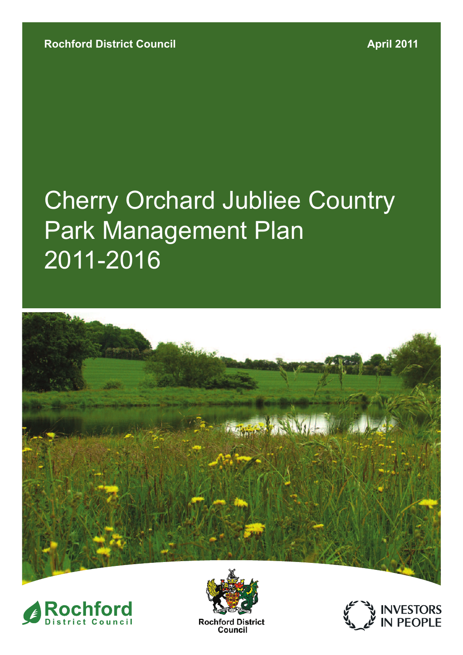# Cherry Orchard Jubliee Country Park Management Plan 2011-2016







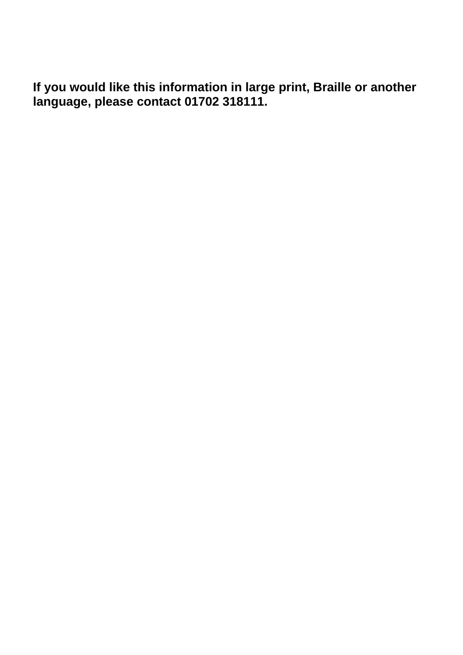**If you would like this information in large print, Braille or another language, please contact 01702 318111.**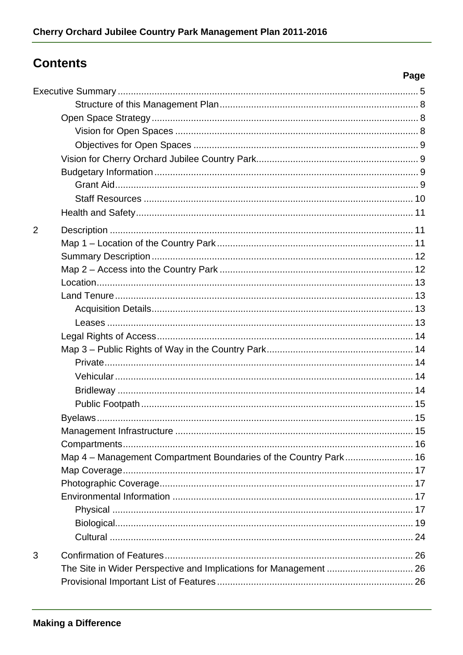# **Contents**

| $\overline{2}$ |                                                                   |  |
|----------------|-------------------------------------------------------------------|--|
|                |                                                                   |  |
|                |                                                                   |  |
|                |                                                                   |  |
|                |                                                                   |  |
|                |                                                                   |  |
|                |                                                                   |  |
|                |                                                                   |  |
|                |                                                                   |  |
|                |                                                                   |  |
|                |                                                                   |  |
|                |                                                                   |  |
|                |                                                                   |  |
|                |                                                                   |  |
|                |                                                                   |  |
|                |                                                                   |  |
|                |                                                                   |  |
|                | Map 4 - Management Compartment Boundaries of the Country Park 16  |  |
|                |                                                                   |  |
|                |                                                                   |  |
|                |                                                                   |  |
|                |                                                                   |  |
|                |                                                                   |  |
|                |                                                                   |  |
| 3              |                                                                   |  |
|                | The Site in Wider Perspective and Implications for Management  26 |  |
|                |                                                                   |  |

Page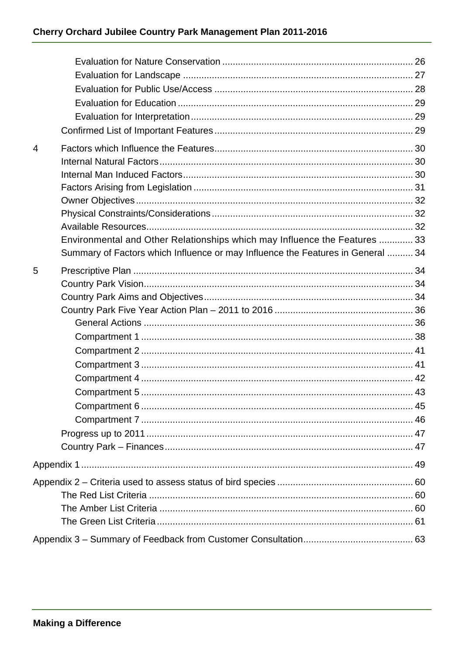| 4 |                                                                                 |  |
|---|---------------------------------------------------------------------------------|--|
|   |                                                                                 |  |
|   |                                                                                 |  |
|   |                                                                                 |  |
|   |                                                                                 |  |
|   |                                                                                 |  |
|   |                                                                                 |  |
|   | Environmental and Other Relationships which may Influence the Features  33      |  |
|   | Summary of Factors which Influence or may Influence the Features in General  34 |  |
| 5 |                                                                                 |  |
|   |                                                                                 |  |
|   |                                                                                 |  |
|   |                                                                                 |  |
|   |                                                                                 |  |
|   |                                                                                 |  |
|   |                                                                                 |  |
|   |                                                                                 |  |
|   |                                                                                 |  |
|   |                                                                                 |  |
|   |                                                                                 |  |
|   |                                                                                 |  |
|   |                                                                                 |  |
|   |                                                                                 |  |
|   |                                                                                 |  |
|   |                                                                                 |  |
|   |                                                                                 |  |
|   |                                                                                 |  |
|   |                                                                                 |  |
|   |                                                                                 |  |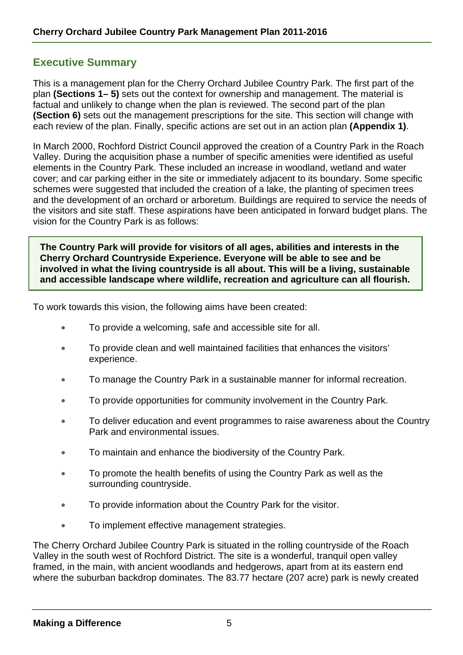# **Executive Summary**

This is a management plan for the Cherry Orchard Jubilee Country Park. The first part of the plan **(Sections 1– 5)** sets out the context for ownership and management. The material is factual and unlikely to change when the plan is reviewed. The second part of the plan **(Section 6)** sets out the management prescriptions for the site. This section will change with each review of the plan. Finally, specific actions are set out in an action plan **(Appendix 1)**.

In March 2000, Rochford District Council approved the creation of a Country Park in the Roach Valley. During the acquisition phase a number of specific amenities were identified as useful elements in the Country Park. These included an increase in woodland, wetland and water cover; and car parking either in the site or immediately adjacent to its boundary. Some specific schemes were suggested that included the creation of a lake, the planting of specimen trees and the development of an orchard or arboretum. Buildings are required to service the needs of the visitors and site staff. These aspirations have been anticipated in forward budget plans. The vision for the Country Park is as follows:

**The Country Park will provide for visitors of all ages, abilities and interests in the Cherry Orchard Countryside Experience. Everyone will be able to see and be involved in what the living countryside is all about. This will be a living, sustainable and accessible landscape where wildlife, recreation and agriculture can all flourish.** 

To work towards this vision, the following aims have been created:

- To provide a welcoming, safe and accessible site for all.
- To provide clean and well maintained facilities that enhances the visitors' experience.
- To manage the Country Park in a sustainable manner for informal recreation.
- To provide opportunities for community involvement in the Country Park.
- To deliver education and event programmes to raise awareness about the Country Park and environmental issues.
- To maintain and enhance the biodiversity of the Country Park.
- To promote the health benefits of using the Country Park as well as the surrounding countryside.
- To provide information about the Country Park for the visitor.
- To implement effective management strategies.

The Cherry Orchard Jubilee Country Park is situated in the rolling countryside of the Roach Valley in the south west of Rochford District. The site is a wonderful, tranquil open valley framed, in the main, with ancient woodlands and hedgerows, apart from at its eastern end where the suburban backdrop dominates. The 83.77 hectare (207 acre) park is newly created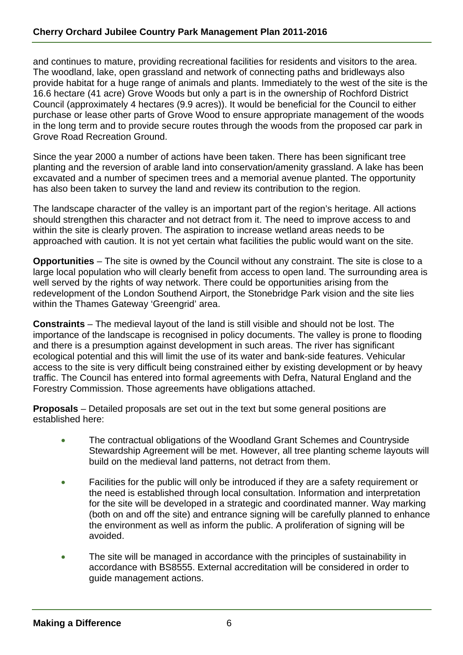and continues to mature, providing recreational facilities for residents and visitors to the area. The woodland, lake, open grassland and network of connecting paths and bridleways also provide habitat for a huge range of animals and plants. Immediately to the west of the site is the 16.6 hectare (41 acre) Grove Woods but only a part is in the ownership of Rochford District Council (approximately 4 hectares (9.9 acres)). It would be beneficial for the Council to either purchase or lease other parts of Grove Wood to ensure appropriate management of the woods in the long term and to provide secure routes through the woods from the proposed car park in Grove Road Recreation Ground.

Since the year 2000 a number of actions have been taken. There has been significant tree planting and the reversion of arable land into conservation/amenity grassland. A lake has been excavated and a number of specimen trees and a memorial avenue planted. The opportunity has also been taken to survey the land and review its contribution to the region.

The landscape character of the valley is an important part of the region's heritage. All actions should strengthen this character and not detract from it. The need to improve access to and within the site is clearly proven. The aspiration to increase wetland areas needs to be approached with caution. It is not yet certain what facilities the public would want on the site.

**Opportunities** – The site is owned by the Council without any constraint. The site is close to a large local population who will clearly benefit from access to open land. The surrounding area is well served by the rights of way network. There could be opportunities arising from the redevelopment of the London Southend Airport, the Stonebridge Park vision and the site lies within the Thames Gateway 'Greengrid' area.

**Constraints** – The medieval layout of the land is still visible and should not be lost. The importance of the landscape is recognised in policy documents. The valley is prone to flooding and there is a presumption against development in such areas. The river has significant ecological potential and this will limit the use of its water and bank-side features. Vehicular access to the site is very difficult being constrained either by existing development or by heavy traffic. The Council has entered into formal agreements with Defra, Natural England and the Forestry Commission. Those agreements have obligations attached.

**Proposals** – Detailed proposals are set out in the text but some general positions are established here:

- The contractual obligations of the Woodland Grant Schemes and Countryside Stewardship Agreement will be met. However, all tree planting scheme layouts will build on the medieval land patterns, not detract from them.
- Facilities for the public will only be introduced if they are a safety requirement or the need is established through local consultation. Information and interpretation for the site will be developed in a strategic and coordinated manner. Way marking (both on and off the site) and entrance signing will be carefully planned to enhance the environment as well as inform the public. A proliferation of signing will be avoided.
- The site will be managed in accordance with the principles of sustainability in accordance with BS8555. External accreditation will be considered in order to guide management actions.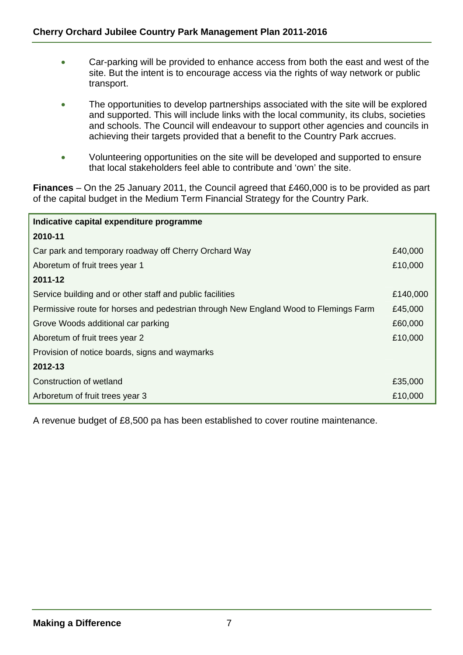- Car-parking will be provided to enhance access from both the east and west of the site. But the intent is to encourage access via the rights of way network or public transport.
- The opportunities to develop partnerships associated with the site will be explored and supported. This will include links with the local community, its clubs, societies and schools. The Council will endeavour to support other agencies and councils in achieving their targets provided that a benefit to the Country Park accrues.
- Volunteering opportunities on the site will be developed and supported to ensure that local stakeholders feel able to contribute and 'own' the site.

**Finances** – On the 25 January 2011, the Council agreed that £460,000 is to be provided as part of the capital budget in the Medium Term Financial Strategy for the Country Park.

| Indicative capital expenditure programme                                             |          |  |  |
|--------------------------------------------------------------------------------------|----------|--|--|
| 2010-11                                                                              |          |  |  |
| Car park and temporary roadway off Cherry Orchard Way                                | £40,000  |  |  |
| Aboretum of fruit trees year 1                                                       | £10,000  |  |  |
| 2011-12                                                                              |          |  |  |
| Service building and or other staff and public facilities                            | £140,000 |  |  |
| Permissive route for horses and pedestrian through New England Wood to Flemings Farm | £45,000  |  |  |
| Grove Woods additional car parking                                                   |          |  |  |
| Aboretum of fruit trees year 2                                                       |          |  |  |
| Provision of notice boards, signs and waymarks                                       |          |  |  |
| 2012-13                                                                              |          |  |  |
| Construction of wetland                                                              | £35,000  |  |  |
| Arboretum of fruit trees year 3                                                      | £10,000  |  |  |

A revenue budget of £8,500 pa has been established to cover routine maintenance.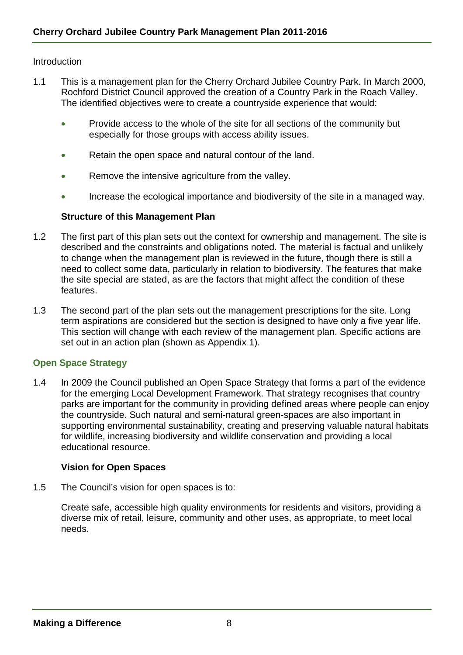#### **Introduction**

- 1.1 This is a management plan for the Cherry Orchard Jubilee Country Park. In March 2000, Rochford District Council approved the creation of a Country Park in the Roach Valley. The identified objectives were to create a countryside experience that would:
	- Provide access to the whole of the site for all sections of the community but especially for those groups with access ability issues.
	- Retain the open space and natural contour of the land.
	- Remove the intensive agriculture from the valley.
	- Increase the ecological importance and biodiversity of the site in a managed way.

#### **Structure of this Management Plan**

- 1.2 The first part of this plan sets out the context for ownership and management. The site is described and the constraints and obligations noted. The material is factual and unlikely to change when the management plan is reviewed in the future, though there is still a need to collect some data, particularly in relation to biodiversity. The features that make the site special are stated, as are the factors that might affect the condition of these features.
- 1.3 The second part of the plan sets out the management prescriptions for the site. Long term aspirations are considered but the section is designed to have only a five year life. This section will change with each review of the management plan. Specific actions are set out in an action plan (shown as Appendix 1).

#### **Open Space Strategy**

1.4 In 2009 the Council published an Open Space Strategy that forms a part of the evidence for the emerging Local Development Framework. That strategy recognises that country parks are important for the community in providing defined areas where people can enjoy the countryside. Such natural and semi-natural green-spaces are also important in supporting environmental sustainability, creating and preserving valuable natural habitats for wildlife, increasing biodiversity and wildlife conservation and providing a local educational resource.

#### **Vision for Open Spaces**

1.5 The Council's vision for open spaces is to:

Create safe, accessible high quality environments for residents and visitors, providing a diverse mix of retail, leisure, community and other uses, as appropriate, to meet local needs.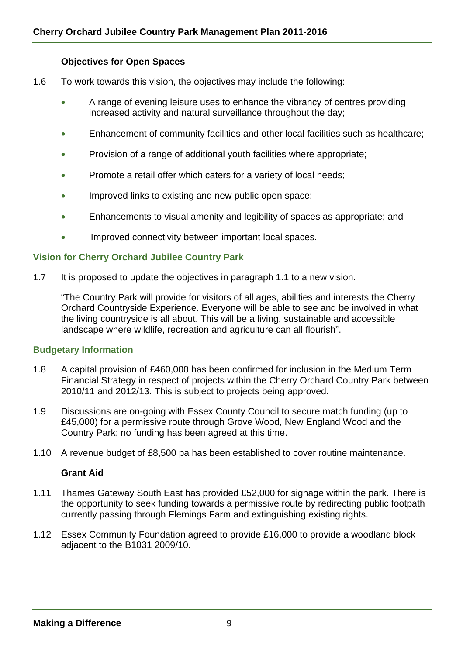#### **Objectives for Open Spaces**

- 1.6 To work towards this vision, the objectives may include the following:
	- A range of evening leisure uses to enhance the vibrancy of centres providing increased activity and natural surveillance throughout the day;
	- Enhancement of community facilities and other local facilities such as healthcare;
	- Provision of a range of additional youth facilities where appropriate;
	- Promote a retail offer which caters for a variety of local needs;
	- Improved links to existing and new public open space;
	- Enhancements to visual amenity and legibility of spaces as appropriate; and
	- Improved connectivity between important local spaces.

#### **Vision for Cherry Orchard Jubilee Country Park**

1.7 It is proposed to update the objectives in paragraph 1.1 to a new vision.

"The Country Park will provide for visitors of all ages, abilities and interests the Cherry Orchard Countryside Experience. Everyone will be able to see and be involved in what the living countryside is all about. This will be a living, sustainable and accessible landscape where wildlife, recreation and agriculture can all flourish".

#### **Budgetary Information**

- 1.8 A capital provision of £460,000 has been confirmed for inclusion in the Medium Term Financial Strategy in respect of projects within the Cherry Orchard Country Park between 2010/11 and 2012/13. This is subject to projects being approved.
- 1.9 Discussions are on-going with Essex County Council to secure match funding (up to £45,000) for a permissive route through Grove Wood, New England Wood and the Country Park; no funding has been agreed at this time.
- 1.10 A revenue budget of £8,500 pa has been established to cover routine maintenance.

#### **Grant Aid**

- 1.11 Thames Gateway South East has provided £52,000 for signage within the park. There is the opportunity to seek funding towards a permissive route by redirecting public footpath currently passing through Flemings Farm and extinguishing existing rights.
- 1.12 Essex Community Foundation agreed to provide £16,000 to provide a woodland block adjacent to the B1031 2009/10.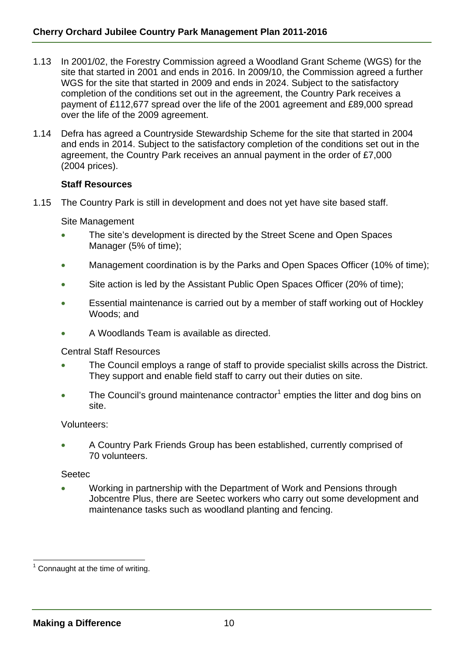- 1.13 In 2001/02, the Forestry Commission agreed a Woodland Grant Scheme (WGS) for the site that started in 2001 and ends in 2016. In 2009/10, the Commission agreed a further WGS for the site that started in 2009 and ends in 2024. Subject to the satisfactory completion of the conditions set out in the agreement, the Country Park receives a payment of £112,677 spread over the life of the 2001 agreement and £89,000 spread over the life of the 2009 agreement.
- 1.14 Defra has agreed a Countryside Stewardship Scheme for the site that started in 2004 and ends in 2014. Subject to the satisfactory completion of the conditions set out in the agreement, the Country Park receives an annual payment in the order of £7,000 (2004 prices).

#### **Staff Resources**

1.15 The Country Park is still in development and does not yet have site based staff.

Site Management

- The site's development is directed by the Street Scene and Open Spaces Manager (5% of time);
- Management coordination is by the Parks and Open Spaces Officer (10% of time);
- Site action is led by the Assistant Public Open Spaces Officer (20% of time);
- Essential maintenance is carried out by a member of staff working out of Hockley Woods; and
- A Woodlands Team is available as directed.

Central Staff Resources

- The Council employs a range of staff to provide specialist skills across the District. They support and enable field staff to carry out their duties on site.
- The Council's ground maintenance contractor<sup>1</sup> empties the litter and dog bins on site.

Volunteers:

• A Country Park Friends Group has been established, currently comprised of 70 volunteers.

**Seetec** 

• Working in partnership with the Department of Work and Pensions through Jobcentre Plus, there are Seetec workers who carry out some development and maintenance tasks such as woodland planting and fencing.

l

 $1$  Connaught at the time of writing.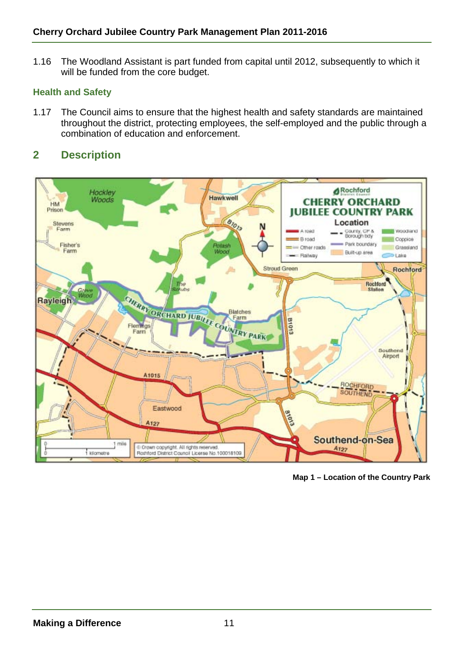1.16 The Woodland Assistant is part funded from capital until 2012, subsequently to which it will be funded from the core budget.

## **Health and Safety**

1.17 The Council aims to ensure that the highest health and safety standards are maintained throughout the district, protecting employees, the self-employed and the public through a combination of education and enforcement.

# **2 Description**



**Map 1 – Location of the Country Park**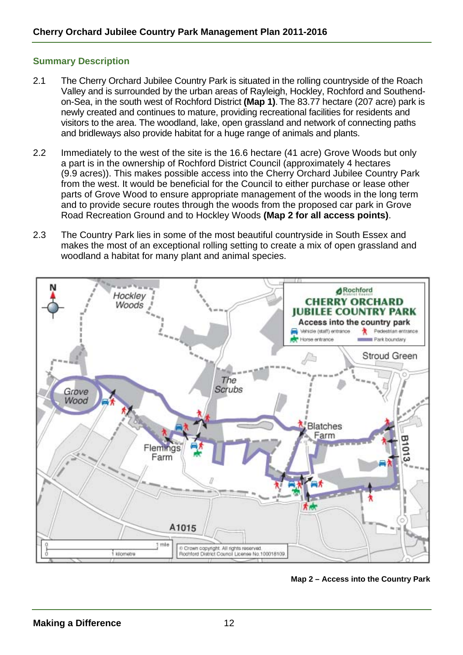#### **Summary Description**

- 2.1 The Cherry Orchard Jubilee Country Park is situated in the rolling countryside of the Roach Valley and is surrounded by the urban areas of Rayleigh, Hockley, Rochford and Southendon-Sea, in the south west of Rochford District **(Map 1)**.The 83.77 hectare (207 acre) park is newly created and continues to mature, providing recreational facilities for residents and visitors to the area. The woodland, lake, open grassland and network of connecting paths and bridleways also provide habitat for a huge range of animals and plants.
- 2.2 Immediately to the west of the site is the 16.6 hectare (41 acre) Grove Woods but only a part is in the ownership of Rochford District Council (approximately 4 hectares (9.9 acres)). This makes possible access into the Cherry Orchard Jubilee Country Park from the west. It would be beneficial for the Council to either purchase or lease other parts of Grove Wood to ensure appropriate management of the woods in the long term and to provide secure routes through the woods from the proposed car park in Grove Road Recreation Ground and to Hockley Woods **(Map 2 for all access points)**.
- 2.3 The Country Park lies in some of the most beautiful countryside in South Essex and makes the most of an exceptional rolling setting to create a mix of open grassland and woodland a habitat for many plant and animal species.



**Map 2 – Access into the Country Park**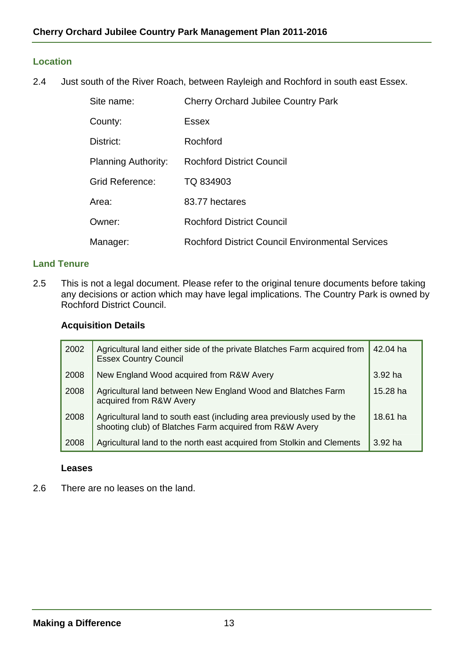#### **Location**

2.4 Just south of the River Roach, between Rayleigh and Rochford in south east Essex.

| Site name:                 | <b>Cherry Orchard Jubilee Country Park</b>              |
|----------------------------|---------------------------------------------------------|
| County:                    | Essex                                                   |
| District:                  | Rochford                                                |
| <b>Planning Authority:</b> | <b>Rochford District Council</b>                        |
| <b>Grid Reference:</b>     | TQ 834903                                               |
| Area:                      | 83.77 hectares                                          |
| Owner:                     | <b>Rochford District Council</b>                        |
| Manager:                   | <b>Rochford District Council Environmental Services</b> |

#### **Land Tenure**

2.5 This is not a legal document. Please refer to the original tenure documents before taking any decisions or action which may have legal implications. The Country Park is owned by Rochford District Council.

#### **Acquisition Details**

| 2002 | Agricultural land either side of the private Blatches Farm acquired from<br><b>Essex Country Council</b>                          | 42.04 ha   |
|------|-----------------------------------------------------------------------------------------------------------------------------------|------------|
| 2008 | New England Wood acquired from R&W Avery                                                                                          | $3.92$ ha  |
| 2008 | Agricultural land between New England Wood and Blatches Farm<br>acquired from R&W Avery                                           | $15.28$ ha |
| 2008 | Agricultural land to south east (including area previously used by the<br>shooting club) of Blatches Farm acquired from R&W Avery | 18.61 ha   |
| 2008 | Agricultural land to the north east acquired from Stolkin and Clements                                                            | $3.92$ ha  |

#### **Leases**

2.6 There are no leases on the land.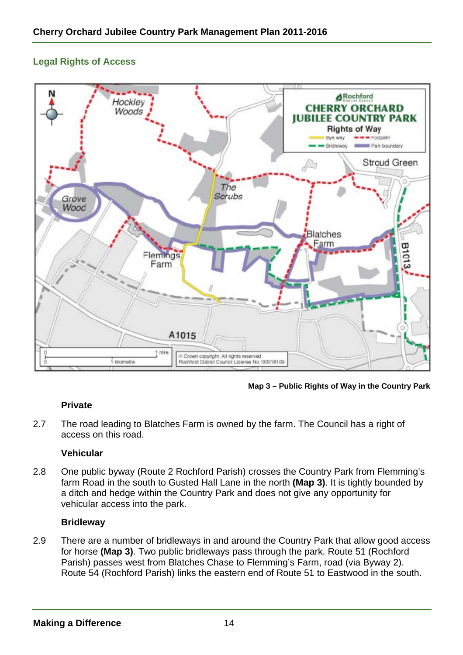# **Legal Rights of Access**



 **Map 3 – Public Rights of Way in the Country Park** 

#### **Private**

2.7 The road leading to Blatches Farm is owned by the farm. The Council has a right of access on this road.

#### **Vehicular**

2.8 One public byway (Route 2 Rochford Parish) crosses the Country Park from Flemming's farm Road in the south to Gusted Hall Lane in the north **(Map 3)**. It is tightly bounded by a ditch and hedge within the Country Park and does not give any opportunity for vehicular access into the park.

#### **Bridleway**

2.9 There are a number of bridleways in and around the Country Park that allow good access for horse **(Map 3)**. Two public bridleways pass through the park. Route 51 (Rochford Parish) passes west from Blatches Chase to Flemming's Farm, road (via Byway 2). Route 54 (Rochford Parish) links the eastern end of Route 51 to Eastwood in the south.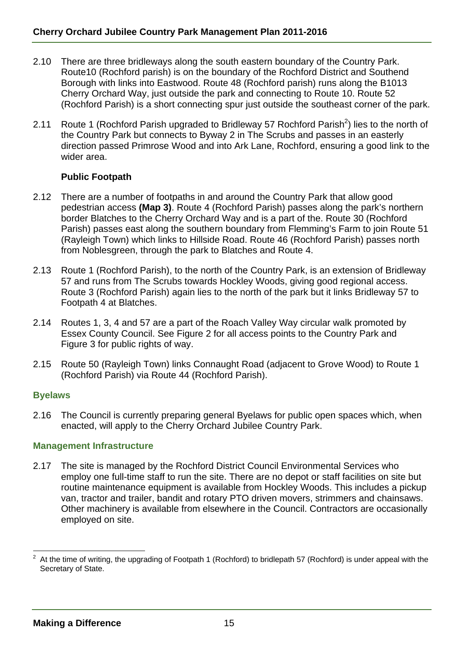- 2.10 There are three bridleways along the south eastern boundary of the Country Park. Route10 (Rochford parish) is on the boundary of the Rochford District and Southend Borough with links into Eastwood. Route 48 (Rochford parish) runs along the B1013 Cherry Orchard Way, just outside the park and connecting to Route 10. Route 52 (Rochford Parish) is a short connecting spur just outside the southeast corner of the park.
- 2.11 Route 1 (Rochford Parish upgraded to Bridleway 57 Rochford Parish<sup>2</sup>) lies to the north of the Country Park but connects to Byway 2 in The Scrubs and passes in an easterly direction passed Primrose Wood and into Ark Lane, Rochford, ensuring a good link to the wider area.

#### **Public Footpath**

- 2.12 There are a number of footpaths in and around the Country Park that allow good pedestrian access **(Map 3)**. Route 4 (Rochford Parish) passes along the park's northern border Blatches to the Cherry Orchard Way and is a part of the. Route 30 (Rochford Parish) passes east along the southern boundary from Flemming's Farm to join Route 51 (Rayleigh Town) which links to Hillside Road. Route 46 (Rochford Parish) passes north from Noblesgreen, through the park to Blatches and Route 4.
- 2.13 Route 1 (Rochford Parish), to the north of the Country Park, is an extension of Bridleway 57 and runs from The Scrubs towards Hockley Woods, giving good regional access. Route 3 (Rochford Parish) again lies to the north of the park but it links Bridleway 57 to Footpath 4 at Blatches.
- 2.14 Routes 1, 3, 4 and 57 are a part of the Roach Valley Way circular walk promoted by Essex County Council. See Figure 2 for all access points to the Country Park and Figure 3 for public rights of way.
- 2.15 Route 50 (Rayleigh Town) links Connaught Road (adjacent to Grove Wood) to Route 1 (Rochford Parish) via Route 44 (Rochford Parish).

#### **Byelaws**

2.16 The Council is currently preparing general Byelaws for public open spaces which, when enacted, will apply to the Cherry Orchard Jubilee Country Park.

#### **Management Infrastructure**

2.17 The site is managed by the Rochford District Council Environmental Services who employ one full-time staff to run the site. There are no depot or staff facilities on site but routine maintenance equipment is available from Hockley Woods. This includes a pickup van, tractor and trailer, bandit and rotary PTO driven movers, strimmers and chainsaws. Other machinery is available from elsewhere in the Council. Contractors are occasionally employed on site.

l 2 At the time of writing, the upgrading of Footpath 1 (Rochford) to bridlepath 57 (Rochford) is under appeal with the Secretary of State.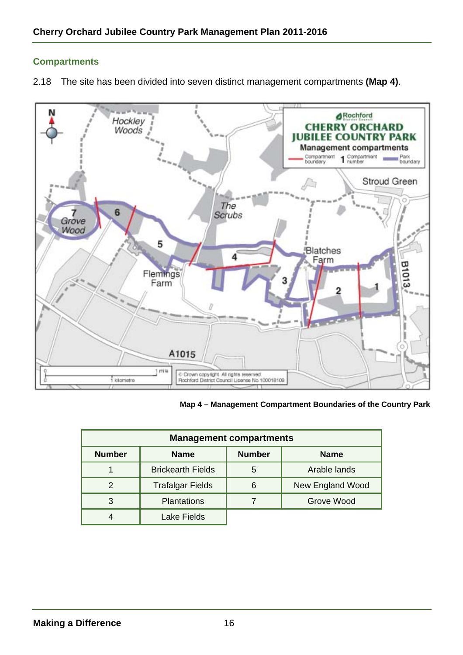#### **Compartments**

2.18 The site has been divided into seven distinct management compartments **(Map 4)**.



**Map 4 – Management Compartment Boundaries of the Country Park** 

| <b>Management compartments</b> |                          |               |                  |
|--------------------------------|--------------------------|---------------|------------------|
| <b>Number</b>                  | <b>Name</b>              | <b>Number</b> | <b>Name</b>      |
|                                | <b>Brickearth Fields</b> | 5             | Arable lands     |
|                                | <b>Trafalgar Fields</b>  | 6             | New England Wood |
|                                | <b>Plantations</b>       |               | Grove Wood       |
|                                | <b>Lake Fields</b>       |               |                  |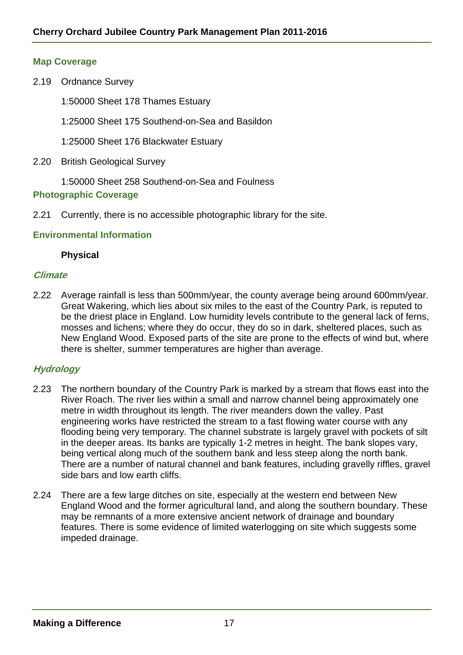#### **Map Coverage**

- 2.19 Ordnance Survey
	- 1:50000 Sheet 178 Thames Estuary
	- 1:25000 Sheet 175 Southend-on-Sea and Basildon
	- 1:25000 Sheet 176 Blackwater Estuary
- 2.20 British Geological Survey

1:50000 Sheet 258 Southend-on-Sea and Foulness

#### **Photographic Coverage**

2.21 Currently, there is no accessible photographic library for the site.

#### **Environmental Information**

#### **Physical**

#### **Climate**

2.22 Average rainfall is less than 500mm/year, the county average being around 600mm/year. Great Wakering, which lies about six miles to the east of the Country Park, is reputed to be the driest place in England. Low humidity levels contribute to the general lack of ferns, mosses and lichens; where they do occur, they do so in dark, sheltered places, such as New England Wood. Exposed parts of the site are prone to the effects of wind but, where there is shelter, summer temperatures are higher than average.

#### **Hydrology**

- 2.23 The northern boundary of the Country Park is marked by a stream that flows east into the River Roach. The river lies within a small and narrow channel being approximately one metre in width throughout its length. The river meanders down the valley. Past engineering works have restricted the stream to a fast flowing water course with any flooding being very temporary. The channel substrate is largely gravel with pockets of silt in the deeper areas. Its banks are typically 1-2 metres in height. The bank slopes vary, being vertical along much of the southern bank and less steep along the north bank. There are a number of natural channel and bank features, including gravelly riffles, gravel side bars and low earth cliffs.
- 2.24 There are a few large ditches on site, especially at the western end between New England Wood and the former agricultural land, and along the southern boundary. These may be remnants of a more extensive ancient network of drainage and boundary features. There is some evidence of limited waterlogging on site which suggests some impeded drainage.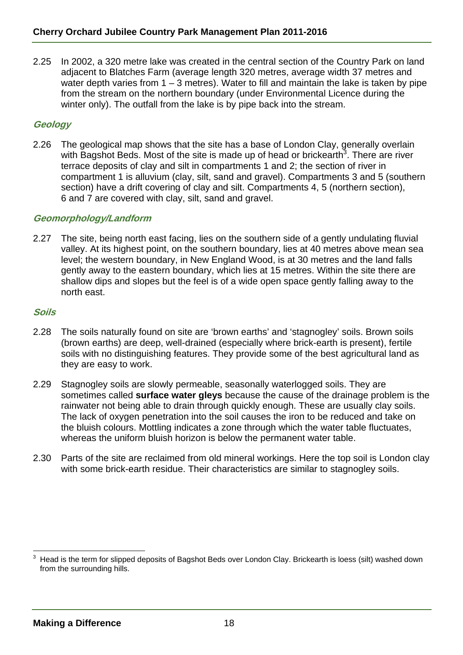2.25 In 2002, a 320 metre lake was created in the central section of the Country Park on land adjacent to Blatches Farm (average length 320 metres, average width 37 metres and water depth varies from  $1 - 3$  metres). Water to fill and maintain the lake is taken by pipe from the stream on the northern boundary (under Environmental Licence during the winter only). The outfall from the lake is by pipe back into the stream.

#### **Geology**

2.26 The geological map shows that the site has a base of London Clay, generally overlain with Bagshot Beds. Most of the site is made up of head or brickearth<sup>3</sup>. There are river terrace deposits of clay and silt in compartments 1 and 2; the section of river in compartment 1 is alluvium (clay, silt, sand and gravel). Compartments 3 and 5 (southern section) have a drift covering of clay and silt. Compartments 4, 5 (northern section), 6 and 7 are covered with clay, silt, sand and gravel.

#### **Geomorphology/Landform**

2.27 The site, being north east facing, lies on the southern side of a gently undulating fluvial valley. At its highest point, on the southern boundary, lies at 40 metres above mean sea level; the western boundary, in New England Wood, is at 30 metres and the land falls gently away to the eastern boundary, which lies at 15 metres. Within the site there are shallow dips and slopes but the feel is of a wide open space gently falling away to the north east.

#### **Soils**

- 2.28 The soils naturally found on site are 'brown earths' and 'stagnogley' soils. Brown soils (brown earths) are deep, well-drained (especially where brick-earth is present), fertile soils with no distinguishing features. They provide some of the best agricultural land as they are easy to work.
- 2.29 Stagnogley soils are slowly permeable, seasonally waterlogged soils. They are sometimes called **surface water gleys** because the cause of the drainage problem is the rainwater not being able to drain through quickly enough. These are usually clay soils. The lack of oxygen penetration into the soil causes the iron to be reduced and take on the bluish colours. Mottling indicates a zone through which the water table fluctuates, whereas the uniform bluish horizon is below the permanent water table.
- 2.30 Parts of the site are reclaimed from old mineral workings. Here the top soil is London clay with some brick-earth residue. Their characteristics are similar to stagnogley soils.

l 3 Head is the term for slipped deposits of Bagshot Beds over London Clay. Brickearth is loess (silt) washed down from the surrounding hills.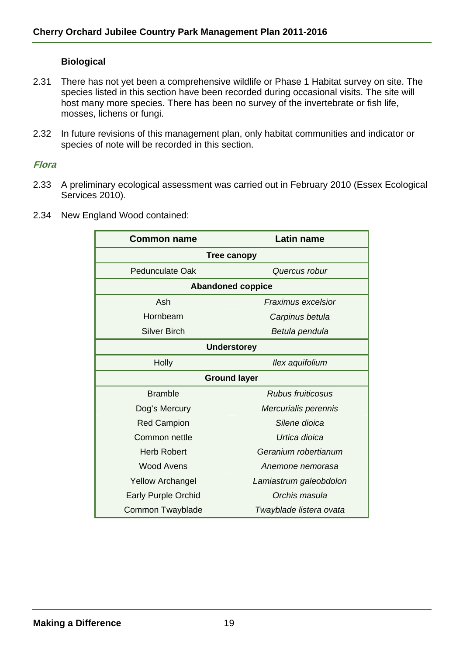#### **Biological**

- 2.31 There has not yet been a comprehensive wildlife or Phase 1 Habitat survey on site. The species listed in this section have been recorded during occasional visits. The site will host many more species. There has been no survey of the invertebrate or fish life, mosses, lichens or fungi.
- 2.32 In future revisions of this management plan, only habitat communities and indicator or species of note will be recorded in this section.

#### **Flora**

- 2.33 A preliminary ecological assessment was carried out in February 2010 (Essex Ecological Services 2010).
- 2.34 New England Wood contained:

| <b>Common name</b>         | <b>Latin name</b>         |  |  |
|----------------------------|---------------------------|--|--|
| Tree canopy                |                           |  |  |
| Pedunculate Oak            | Quercus robur             |  |  |
|                            | <b>Abandoned coppice</b>  |  |  |
| Ash                        | <b>Fraximus excelsior</b> |  |  |
| Hornbeam                   | Carpinus betula           |  |  |
| <b>Silver Birch</b>        | Betula pendula            |  |  |
| <b>Understorey</b>         |                           |  |  |
| <b>Holly</b>               | Ilex aquifolium           |  |  |
| <b>Ground layer</b>        |                           |  |  |
| <b>Bramble</b>             | Rubus fruiticosus         |  |  |
| Dog's Mercury              | Mercurialis perennis      |  |  |
| <b>Red Campion</b>         | Silene dioica             |  |  |
| Common nettle              | Urtica dioica             |  |  |
| Herb Robert                | Geranium robertianum      |  |  |
| <b>Wood Avens</b>          | Anemone nemorasa          |  |  |
| <b>Yellow Archangel</b>    | Lamiastrum galeobdolon    |  |  |
| <b>Early Purple Orchid</b> | Orchis masula             |  |  |
| Common Twayblade           | Twayblade listera ovata   |  |  |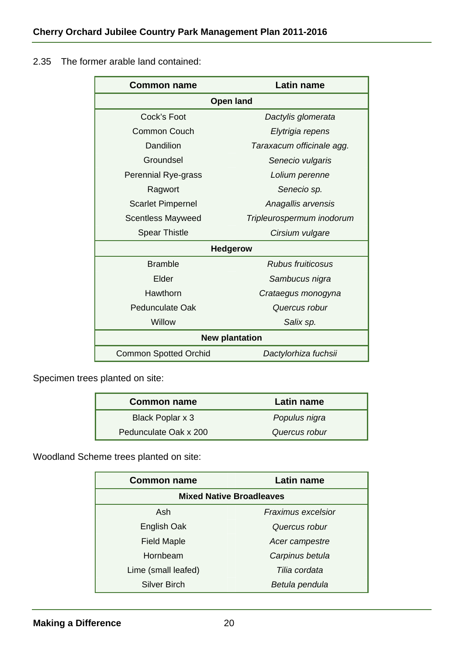# 2.35 The former arable land contained:

| <b>Common name</b>           | Latin name                |  |
|------------------------------|---------------------------|--|
| <b>Open land</b>             |                           |  |
| Cock's Foot                  | Dactylis glomerata        |  |
| Common Couch                 | Elytrigia repens          |  |
| Dandilion                    | Taraxacum officinale agg. |  |
| Groundsel                    | Senecio vulgaris          |  |
| <b>Perennial Rye-grass</b>   | Lolium perenne            |  |
| Ragwort                      | Senecio sp.               |  |
| <b>Scarlet Pimpernel</b>     | Anagallis arvensis        |  |
| <b>Scentless Mayweed</b>     | Tripleurospermum inodorum |  |
| <b>Spear Thistle</b>         | Cirsium vulgare           |  |
| <b>Hedgerow</b>              |                           |  |
| <b>Bramble</b>               | <b>Rubus fruiticosus</b>  |  |
| Elder                        | Sambucus nigra            |  |
| Hawthorn                     | Crataegus monogyna        |  |
| Pedunculate Oak              | Quercus robur             |  |
| Willow                       | Salix sp.                 |  |
|                              | <b>New plantation</b>     |  |
| <b>Common Spotted Orchid</b> | Dactylorhiza fuchsii      |  |

Specimen trees planted on site:

| <b>Common name</b>    | Latin name    |
|-----------------------|---------------|
| Black Poplar x 3      | Populus nigra |
| Pedunculate Oak x 200 | Quercus robur |

Woodland Scheme trees planted on site:

| <b>Common name</b>              | Latin name                |  |
|---------------------------------|---------------------------|--|
| <b>Mixed Native Broadleaves</b> |                           |  |
| Ash                             | <b>Fraximus excelsior</b> |  |
| English Oak                     | Quercus robur             |  |
| <b>Field Maple</b>              | Acer campestre            |  |
| Hornbeam                        | Carpinus betula           |  |
| Lime (small leafed)             | Tilia cordata             |  |
| <b>Silver Birch</b>             | Betula pendula            |  |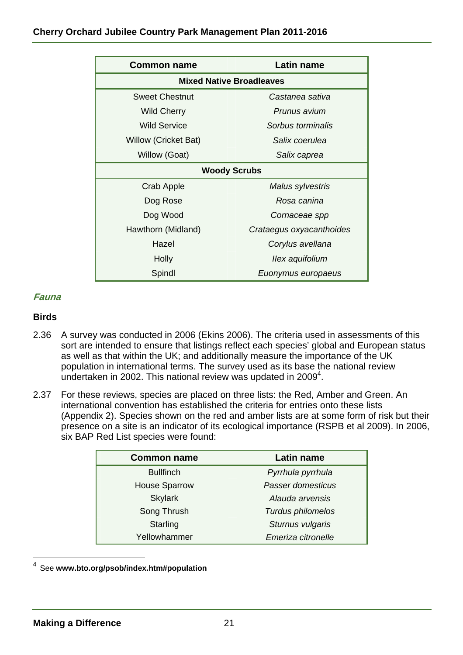| <b>Common name</b>              | Latin name               |  |
|---------------------------------|--------------------------|--|
| <b>Mixed Native Broadleaves</b> |                          |  |
| <b>Sweet Chestnut</b>           | Castanea sativa          |  |
| <b>Wild Cherry</b>              | Prunus avium             |  |
| <b>Wild Service</b>             | Sorbus torminalis        |  |
| <b>Willow (Cricket Bat)</b>     | Salix coerulea           |  |
| Willow (Goat)                   | Salix caprea             |  |
| <b>Woody Scrubs</b>             |                          |  |
| Crab Apple                      | Malus sylvestris         |  |
| Dog Rose                        | Rosa canina              |  |
| Dog Wood                        | Cornaceae spp            |  |
| Hawthorn (Midland)              | Crataegus oxyacanthoides |  |
| Hazel                           | Corylus avellana         |  |
| Holly                           | Ilex aquifolium          |  |
| Spindl                          | Euonymus europaeus       |  |

#### **Fauna**

#### **Birds**

- 2.36 A survey was conducted in 2006 (Ekins 2006). The criteria used in assessments of this sort are intended to ensure that listings reflect each species' global and European status as well as that within the UK; and additionally measure the importance of the UK population in international terms. The survey used as its base the national review undertaken in 2002. This national review was updated in 2009<sup>4</sup>.
- 2.37 For these reviews, species are placed on three lists: the Red, Amber and Green. An international convention has established the criteria for entries onto these lists (Appendix 2). Species shown on the red and amber lists are at some form of risk but their presence on a site is an indicator of its ecological importance (RSPB et al 2009). In 2006, six BAP Red List species were found:

| <b>Common name</b>   | Latin name         |
|----------------------|--------------------|
| <b>Bullfinch</b>     | Pyrrhula pyrrhula  |
| <b>House Sparrow</b> | Passer domesticus  |
| <b>Skylark</b>       | Alauda arvensis    |
| Song Thrush          | Turdus philomelos  |
| Starling             | Sturnus vulgaris   |
| Yellowhammer         | Emeriza citronelle |

4 See **www.bto.org/psob/index.htm#population**

l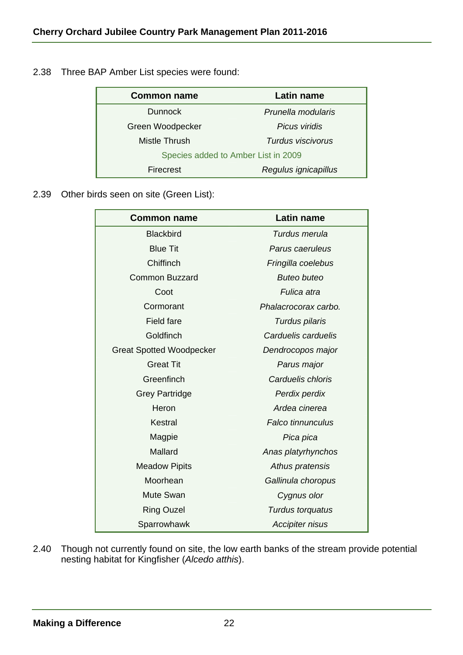| <b>Common name</b>                  | <b>Latin name</b>    |
|-------------------------------------|----------------------|
| <b>Dunnock</b>                      | Prunella modularis   |
| Green Woodpecker                    | Picus viridis        |
| Mistle Thrush                       | Turdus viscivorus    |
| Species added to Amber List in 2009 |                      |
| Firecrest                           | Regulus ignicapillus |

2.38 Three BAP Amber List species were found:

2.39 Other birds seen on site (Green List):

| <b>Common name</b>              | Latin name               |
|---------------------------------|--------------------------|
| <b>Blackbird</b>                | Turdus merula            |
| <b>Blue Tit</b>                 | Parus caeruleus          |
| Chiffinch                       | Fringilla coelebus       |
| <b>Common Buzzard</b>           | <b>Buteo buteo</b>       |
| Coot                            | Fulica atra              |
| Cormorant                       | Phalacrocorax carbo.     |
| <b>Field fare</b>               | Turdus pilaris           |
| Goldfinch                       | Carduelis carduelis      |
| <b>Great Spotted Woodpecker</b> | Dendrocopos major        |
| <b>Great Tit</b>                | Parus major              |
| Greenfinch                      | Carduelis chloris        |
| <b>Grey Partridge</b>           | Perdix perdix            |
| Heron                           | Ardea cinerea            |
| <b>Kestral</b>                  | <b>Falco tinnunculus</b> |
| Magpie                          | Pica pica                |
| Mallard                         | Anas platyrhynchos       |
| <b>Meadow Pipits</b>            | Athus pratensis          |
| Moorhean                        | Gallinula choropus       |
| <b>Mute Swan</b>                | Cygnus olor              |
| <b>Ring Ouzel</b>               | Turdus torquatus         |
| Sparrowhawk                     | <b>Accipiter nisus</b>   |

2.40 Though not currently found on site, the low earth banks of the stream provide potential nesting habitat for Kingfisher (*Alcedo atthis*).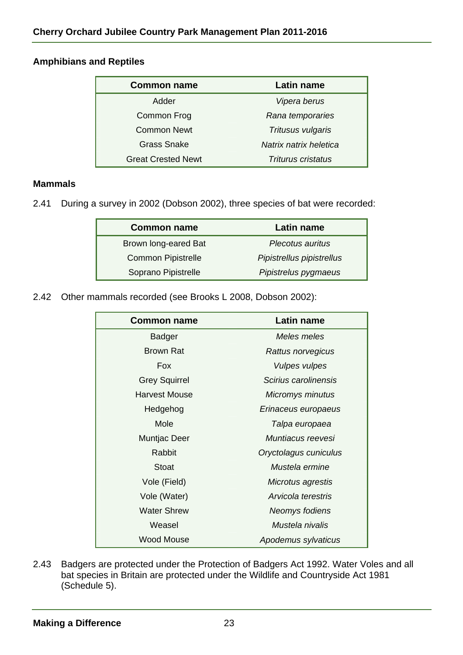# **Amphibians and Reptiles**

| <b>Common name</b>        | Latin name                |
|---------------------------|---------------------------|
| Adder                     | Vipera berus              |
| Common Frog               | Rana temporaries          |
| <b>Common Newt</b>        | Tritusus vulgaris         |
| <b>Grass Snake</b>        | Natrix natrix heletica    |
| <b>Great Crested Newt</b> | <b>Triturus cristatus</b> |

#### **Mammals**

2.41 During a survey in 2002 (Dobson 2002), three species of bat were recorded:

| <b>Common name</b>        | Latin name                |
|---------------------------|---------------------------|
| Brown long-eared Bat      | Plecotus auritus          |
| <b>Common Pipistrelle</b> | Pipistrellus pipistrellus |
| Soprano Pipistrelle       | Pipistrelus pygmaeus      |

2.42 Other mammals recorded (see Brooks L 2008, Dobson 2002):

| <b>Common name</b>   | <b>Latin name</b>       |
|----------------------|-------------------------|
| <b>Badger</b>        | Meles meles             |
| <b>Brown Rat</b>     | Rattus norvegicus       |
| <b>Fox</b>           | Vulpes vulpes           |
| <b>Grey Squirrel</b> | Scirius carolinensis    |
| Harvest Mouse        | <b>Micromys minutus</b> |
| Hedgehog             | Erinaceus europaeus     |
| Mole                 | Talpa europaea          |
| Muntjac Deer         | Muntiacus reevesi       |
| Rabbit               | Oryctolagus cuniculus   |
| Stoat                | Mustela ermine          |
| Vole (Field)         | Microtus agrestis       |
| Vole (Water)         | Arvicola terestris      |
| <b>Water Shrew</b>   | Neomys fodiens          |
| Weasel               | Mustela nivalis         |
| Wood Mouse           | Apodemus sylvaticus     |

2.43 Badgers are protected under the Protection of Badgers Act 1992. Water Voles and all bat species in Britain are protected under the Wildlife and Countryside Act 1981 (Schedule 5).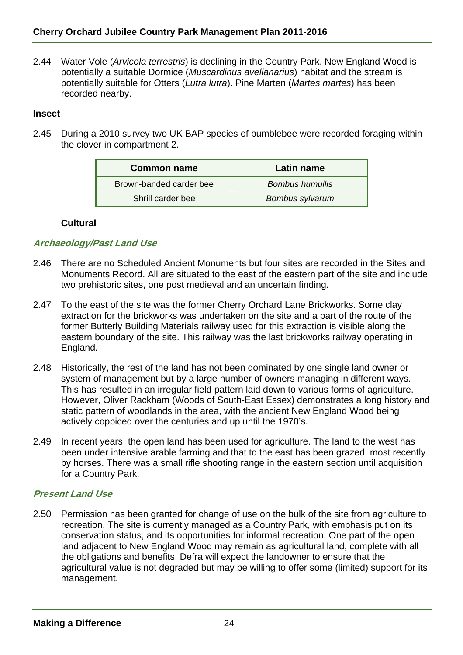2.44 Water Vole (*Arvicola terrestris*) is declining in the Country Park. New England Wood is potentially a suitable Dormice (*Muscardinus avellanarius*) habitat and the stream is potentially suitable for Otters (*Lutra lutra*). Pine Marten (*Martes martes*) has been recorded nearby.

#### **Insect**

2.45 During a 2010 survey two UK BAP species of bumblebee were recorded foraging within the clover in compartment 2.

| <b>Common name</b>      | Latin name      |
|-------------------------|-----------------|
| Brown-banded carder bee | Bombus humuilis |
| Shrill carder bee       | Bombus sylvarum |

# **Cultural**

# **Archaeology/Past Land Use**

- 2.46 There are no Scheduled Ancient Monuments but four sites are recorded in the Sites and Monuments Record. All are situated to the east of the eastern part of the site and include two prehistoric sites, one post medieval and an uncertain finding.
- 2.47 To the east of the site was the former Cherry Orchard Lane Brickworks. Some clay extraction for the brickworks was undertaken on the site and a part of the route of the former Butterly Building Materials railway used for this extraction is visible along the eastern boundary of the site. This railway was the last brickworks railway operating in England.
- 2.48 Historically, the rest of the land has not been dominated by one single land owner or system of management but by a large number of owners managing in different ways. This has resulted in an irregular field pattern laid down to various forms of agriculture. However, Oliver Rackham (Woods of South-East Essex) demonstrates a long history and static pattern of woodlands in the area, with the ancient New England Wood being actively coppiced over the centuries and up until the 1970's.
- 2.49 In recent years, the open land has been used for agriculture. The land to the west has been under intensive arable farming and that to the east has been grazed, most recently by horses. There was a small rifle shooting range in the eastern section until acquisition for a Country Park.

#### **Present Land Use**

2.50 Permission has been granted for change of use on the bulk of the site from agriculture to recreation. The site is currently managed as a Country Park, with emphasis put on its conservation status, and its opportunities for informal recreation. One part of the open land adjacent to New England Wood may remain as agricultural land, complete with all the obligations and benefits. Defra will expect the landowner to ensure that the agricultural value is not degraded but may be willing to offer some (limited) support for its management.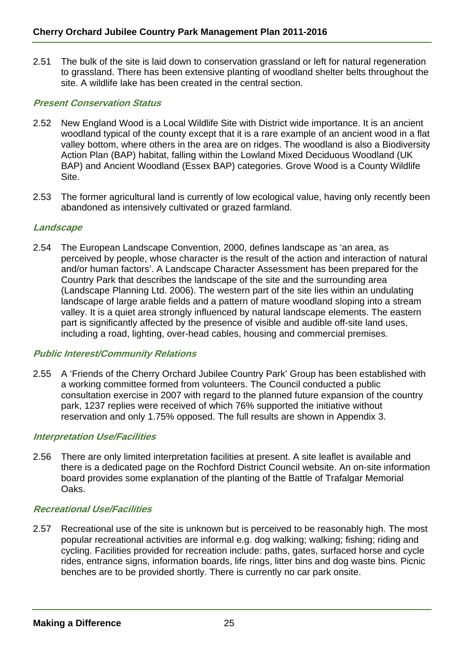2.51 The bulk of the site is laid down to conservation grassland or left for natural regeneration to grassland. There has been extensive planting of woodland shelter belts throughout the site. A wildlife lake has been created in the central section.

#### **Present Conservation Status**

- 2.52 New England Wood is a Local Wildlife Site with District wide importance. It is an ancient woodland typical of the county except that it is a rare example of an ancient wood in a flat valley bottom, where others in the area are on ridges. The woodland is also a Biodiversity Action Plan (BAP) habitat, falling within the Lowland Mixed Deciduous Woodland (UK BAP) and Ancient Woodland (Essex BAP) categories. Grove Wood is a County Wildlife Site.
- 2.53 The former agricultural land is currently of low ecological value, having only recently been abandoned as intensively cultivated or grazed farmland.

#### **Landscape**

2.54 The European Landscape Convention, 2000, defines landscape as 'an area, as perceived by people, whose character is the result of the action and interaction of natural and/or human factors'. A Landscape Character Assessment has been prepared for the Country Park that describes the landscape of the site and the surrounding area (Landscape Planning Ltd. 2006). The western part of the site lies within an undulating landscape of large arable fields and a pattern of mature woodland sloping into a stream valley. It is a quiet area strongly influenced by natural landscape elements. The eastern part is significantly affected by the presence of visible and audible off-site land uses, including a road, lighting, over-head cables, housing and commercial premises.

#### **Public Interest/Community Relations**

2.55 A 'Friends of the Cherry Orchard Jubilee Country Park' Group has been established with a working committee formed from volunteers. The Council conducted a public consultation exercise in 2007 with regard to the planned future expansion of the country park, 1237 replies were received of which 76% supported the initiative without reservation and only 1.75% opposed. The full results are shown in Appendix 3.

#### **Interpretation Use/Facilities**

2.56 There are only limited interpretation facilities at present. A site leaflet is available and there is a dedicated page on the Rochford District Council website. An on-site information board provides some explanation of the planting of the Battle of Trafalgar Memorial Oaks.

#### **Recreational Use/Facilities**

2.57 Recreational use of the site is unknown but is perceived to be reasonably high. The most popular recreational activities are informal e.g. dog walking; walking; fishing; riding and cycling. Facilities provided for recreation include: paths, gates, surfaced horse and cycle rides, entrance signs, information boards, life rings, litter bins and dog waste bins. Picnic benches are to be provided shortly. There is currently no car park onsite.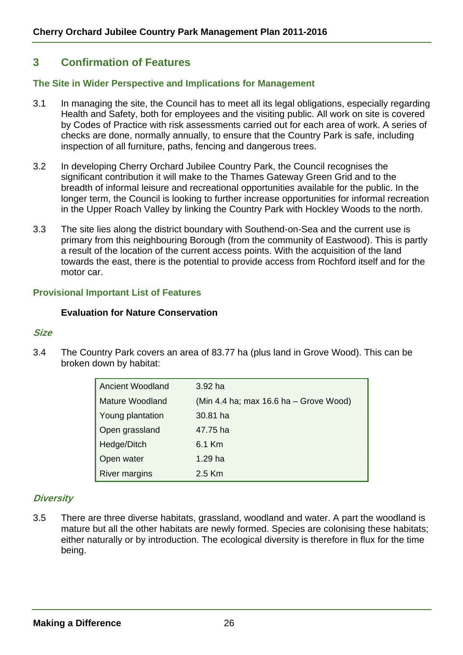# **3 Confirmation of Features**

#### **The Site in Wider Perspective and Implications for Management**

- 3.1 In managing the site, the Council has to meet all its legal obligations, especially regarding Health and Safety, both for employees and the visiting public. All work on site is covered by Codes of Practice with risk assessments carried out for each area of work. A series of checks are done, normally annually, to ensure that the Country Park is safe, including inspection of all furniture, paths, fencing and dangerous trees.
- 3.2 In developing Cherry Orchard Jubilee Country Park, the Council recognises the significant contribution it will make to the Thames Gateway Green Grid and to the breadth of informal leisure and recreational opportunities available for the public. In the longer term, the Council is looking to further increase opportunities for informal recreation in the Upper Roach Valley by linking the Country Park with Hockley Woods to the north.
- 3.3 The site lies along the district boundary with Southend-on-Sea and the current use is primary from this neighbouring Borough (from the community of Eastwood). This is partly a result of the location of the current access points. With the acquisition of the land towards the east, there is the potential to provide access from Rochford itself and for the motor car.

#### **Provisional Important List of Features**

#### **Evaluation for Nature Conservation**

#### **Size**

3.4 The Country Park covers an area of 83.77 ha (plus land in Grove Wood). This can be broken down by habitat:

| <b>Ancient Woodland</b> | $3.92$ ha                              |
|-------------------------|----------------------------------------|
| Mature Woodland         | (Min 4.4 ha; max 16.6 ha - Grove Wood) |
| Young plantation        | 30.81 ha                               |
| Open grassland          | 47.75 ha                               |
| Hedge/Ditch             | 6.1 Km                                 |
| Open water              | 1.29 ha                                |
| <b>River margins</b>    | $2.5$ Km                               |

#### **Diversity**

3.5 There are three diverse habitats, grassland, woodland and water. A part the woodland is mature but all the other habitats are newly formed. Species are colonising these habitats; either naturally or by introduction. The ecological diversity is therefore in flux for the time being.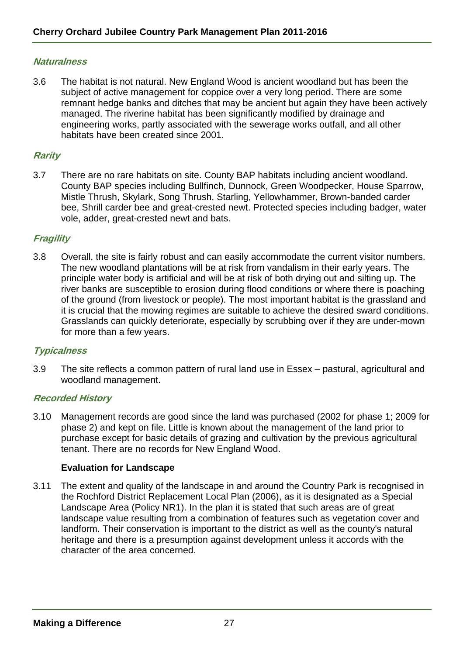#### **Naturalness**

3.6 The habitat is not natural. New England Wood is ancient woodland but has been the subject of active management for coppice over a very long period. There are some remnant hedge banks and ditches that may be ancient but again they have been actively managed. The riverine habitat has been significantly modified by drainage and engineering works, partly associated with the sewerage works outfall, and all other habitats have been created since 2001.

#### **Rarity**

3.7 There are no rare habitats on site. County BAP habitats including ancient woodland. County BAP species including Bullfinch, Dunnock, Green Woodpecker, House Sparrow, Mistle Thrush, Skylark, Song Thrush, Starling, Yellowhammer, Brown-banded carder bee, Shrill carder bee and great-crested newt. Protected species including badger, water vole, adder, great-crested newt and bats.

#### **Fragility**

3.8 Overall, the site is fairly robust and can easily accommodate the current visitor numbers. The new woodland plantations will be at risk from vandalism in their early years. The principle water body is artificial and will be at risk of both drying out and silting up. The river banks are susceptible to erosion during flood conditions or where there is poaching of the ground (from livestock or people). The most important habitat is the grassland and it is crucial that the mowing regimes are suitable to achieve the desired sward conditions. Grasslands can quickly deteriorate, especially by scrubbing over if they are under-mown for more than a few years.

#### **Typicalness**

3.9 The site reflects a common pattern of rural land use in Essex – pastural, agricultural and woodland management.

#### **Recorded History**

3.10 Management records are good since the land was purchased (2002 for phase 1; 2009 for phase 2) and kept on file. Little is known about the management of the land prior to purchase except for basic details of grazing and cultivation by the previous agricultural tenant. There are no records for New England Wood.

#### **Evaluation for Landscape**

3.11 The extent and quality of the landscape in and around the Country Park is recognised in the Rochford District Replacement Local Plan (2006), as it is designated as a Special Landscape Area (Policy NR1). In the plan it is stated that such areas are of great landscape value resulting from a combination of features such as vegetation cover and landform. Their conservation is important to the district as well as the county's natural heritage and there is a presumption against development unless it accords with the character of the area concerned.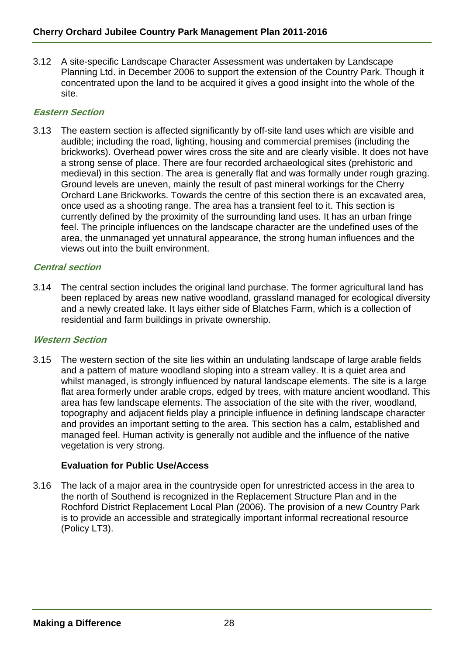3.12 A site-specific Landscape Character Assessment was undertaken by Landscape Planning Ltd. in December 2006 to support the extension of the Country Park. Though it concentrated upon the land to be acquired it gives a good insight into the whole of the site.

## **Eastern Section**

3.13 The eastern section is affected significantly by off-site land uses which are visible and audible; including the road, lighting, housing and commercial premises (including the brickworks). Overhead power wires cross the site and are clearly visible. It does not have a strong sense of place. There are four recorded archaeological sites (prehistoric and medieval) in this section. The area is generally flat and was formally under rough grazing. Ground levels are uneven, mainly the result of past mineral workings for the Cherry Orchard Lane Brickworks. Towards the centre of this section there is an excavated area, once used as a shooting range. The area has a transient feel to it. This section is currently defined by the proximity of the surrounding land uses. It has an urban fringe feel. The principle influences on the landscape character are the undefined uses of the area, the unmanaged yet unnatural appearance, the strong human influences and the views out into the built environment.

# **Central section**

3.14 The central section includes the original land purchase. The former agricultural land has been replaced by areas new native woodland, grassland managed for ecological diversity and a newly created lake. It lays either side of Blatches Farm, which is a collection of residential and farm buildings in private ownership.

#### **Western Section**

3.15 The western section of the site lies within an undulating landscape of large arable fields and a pattern of mature woodland sloping into a stream valley. It is a quiet area and whilst managed, is strongly influenced by natural landscape elements. The site is a large flat area formerly under arable crops, edged by trees, with mature ancient woodland. This area has few landscape elements. The association of the site with the river, woodland, topography and adjacent fields play a principle influence in defining landscape character and provides an important setting to the area. This section has a calm, established and managed feel. Human activity is generally not audible and the influence of the native vegetation is very strong.

# **Evaluation for Public Use/Access**

3.16 The lack of a major area in the countryside open for unrestricted access in the area to the north of Southend is recognized in the Replacement Structure Plan and in the Rochford District Replacement Local Plan (2006). The provision of a new Country Park is to provide an accessible and strategically important informal recreational resource (Policy LT3).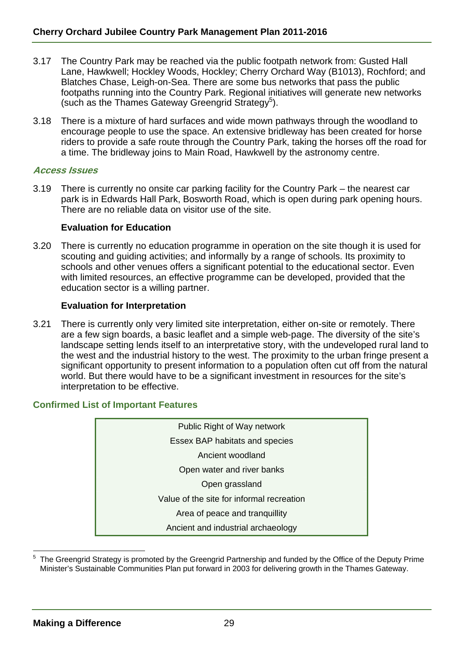- 3.17 The Country Park may be reached via the public footpath network from: Gusted Hall Lane, Hawkwell; Hockley Woods, Hockley; Cherry Orchard Way (B1013), Rochford; and Blatches Chase, Leigh-on-Sea. There are some bus networks that pass the public footpaths running into the Country Park. Regional initiatives will generate new networks (such as the Thames Gateway Greengrid Strategy<sup>5</sup>).
- 3.18 There is a mixture of hard surfaces and wide mown pathways through the woodland to encourage people to use the space. An extensive bridleway has been created for horse riders to provide a safe route through the Country Park, taking the horses off the road for a time. The bridleway joins to Main Road, Hawkwell by the astronomy centre.

#### **Access Issues**

3.19 There is currently no onsite car parking facility for the Country Park – the nearest car park is in Edwards Hall Park, Bosworth Road, which is open during park opening hours. There are no reliable data on visitor use of the site.

#### **Evaluation for Education**

3.20 There is currently no education programme in operation on the site though it is used for scouting and guiding activities; and informally by a range of schools. Its proximity to schools and other venues offers a significant potential to the educational sector. Even with limited resources, an effective programme can be developed, provided that the education sector is a willing partner.

#### **Evaluation for Interpretation**

3.21 There is currently only very limited site interpretation, either on-site or remotely. There are a few sign boards, a basic leaflet and a simple web-page. The diversity of the site's landscape setting lends itself to an interpretative story, with the undeveloped rural land to the west and the industrial history to the west. The proximity to the urban fringe present a significant opportunity to present information to a population often cut off from the natural world. But there would have to be a significant investment in resources for the site's interpretation to be effective.

#### **Confirmed List of Important Features**



l 5 The Greengrid Strategy is promoted by the Greengrid Partnership and funded by the Office of the Deputy Prime Minister's Sustainable Communities Plan put forward in 2003 for delivering growth in the Thames Gateway.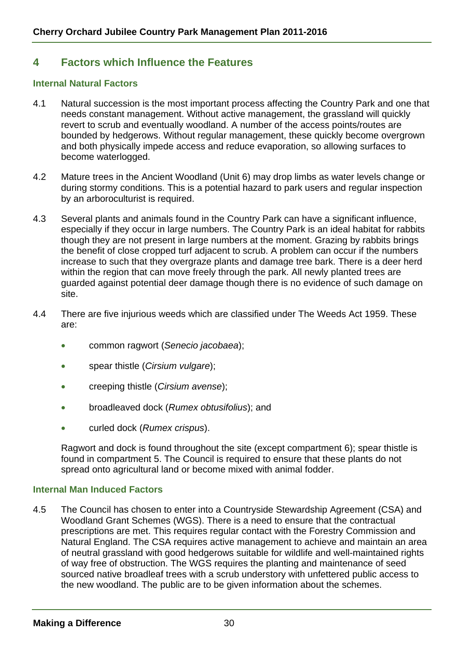# **4 Factors which Influence the Features**

#### **Internal Natural Factors**

- 4.1 Natural succession is the most important process affecting the Country Park and one that needs constant management. Without active management, the grassland will quickly revert to scrub and eventually woodland. A number of the access points/routes are bounded by hedgerows. Without regular management, these quickly become overgrown and both physically impede access and reduce evaporation, so allowing surfaces to become waterlogged.
- 4.2 Mature trees in the Ancient Woodland (Unit 6) may drop limbs as water levels change or during stormy conditions. This is a potential hazard to park users and regular inspection by an arboroculturist is required.
- 4.3 Several plants and animals found in the Country Park can have a significant influence, especially if they occur in large numbers. The Country Park is an ideal habitat for rabbits though they are not present in large numbers at the moment. Grazing by rabbits brings the benefit of close cropped turf adjacent to scrub. A problem can occur if the numbers increase to such that they overgraze plants and damage tree bark. There is a deer herd within the region that can move freely through the park. All newly planted trees are guarded against potential deer damage though there is no evidence of such damage on site.
- 4.4 There are five injurious weeds which are classified under The Weeds Act 1959. These are:
	- common ragwort (*Senecio jacobaea*);
	- spear thistle (*Cirsium vulgare*);
	- creeping thistle (*Cirsium avense*);
	- broadleaved dock (*Rumex obtusifolius*); and
	- curled dock (*Rumex crispus*).

Ragwort and dock is found throughout the site (except compartment 6); spear thistle is found in compartment 5. The Council is required to ensure that these plants do not spread onto agricultural land or become mixed with animal fodder.

#### **Internal Man Induced Factors**

4.5 The Council has chosen to enter into a Countryside Stewardship Agreement (CSA) and Woodland Grant Schemes (WGS). There is a need to ensure that the contractual prescriptions are met. This requires regular contact with the Forestry Commission and Natural England. The CSA requires active management to achieve and maintain an area of neutral grassland with good hedgerows suitable for wildlife and well-maintained rights of way free of obstruction. The WGS requires the planting and maintenance of seed sourced native broadleaf trees with a scrub understory with unfettered public access to the new woodland. The public are to be given information about the schemes.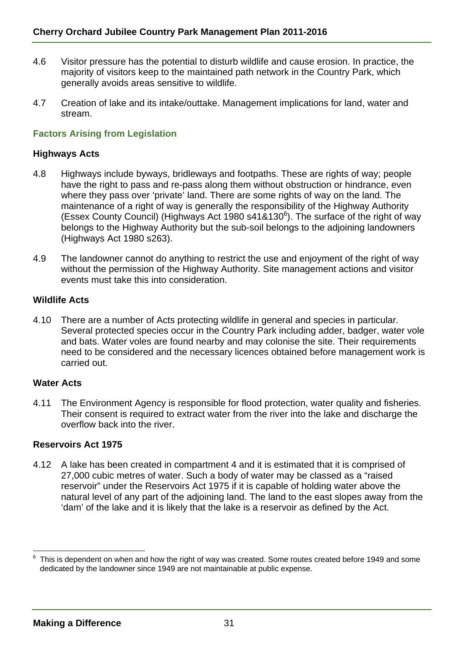- 4.6 Visitor pressure has the potential to disturb wildlife and cause erosion. In practice, the majority of visitors keep to the maintained path network in the Country Park, which generally avoids areas sensitive to wildlife.
- 4.7 Creation of lake and its intake/outtake. Management implications for land, water and stream.

#### **Factors Arising from Legislation**

#### **Highways Acts**

- 4.8 Highways include byways, bridleways and footpaths. These are rights of way; people have the right to pass and re-pass along them without obstruction or hindrance, even where they pass over 'private' land. There are some rights of way on the land. The maintenance of a right of way is generally the responsibility of the Highway Authority (Essex County Council) (Highways Act 1980 s41&130 $^6$ ). The surface of the right of way belongs to the Highway Authority but the sub-soil belongs to the adjoining landowners (Highways Act 1980 s263).
- 4.9 The landowner cannot do anything to restrict the use and enjoyment of the right of way without the permission of the Highway Authority. Site management actions and visitor events must take this into consideration.

#### **Wildlife Acts**

4.10 There are a number of Acts protecting wildlife in general and species in particular. Several protected species occur in the Country Park including adder, badger, water vole and bats. Water voles are found nearby and may colonise the site. Their requirements need to be considered and the necessary licences obtained before management work is carried out.

#### **Water Acts**

l

4.11 The Environment Agency is responsible for flood protection, water quality and fisheries. Their consent is required to extract water from the river into the lake and discharge the overflow back into the river.

#### **Reservoirs Act 1975**

4.12 A lake has been created in compartment 4 and it is estimated that it is comprised of 27,000 cubic metres of water. Such a body of water may be classed as a "raised reservoir" under the Reservoirs Act 1975 if it is capable of holding water above the natural level of any part of the adjoining land. The land to the east slopes away from the 'dam' of the lake and it is likely that the lake is a reservoir as defined by the Act.

<sup>6</sup> This is dependent on when and how the right of way was created. Some routes created before 1949 and some dedicated by the landowner since 1949 are not maintainable at public expense.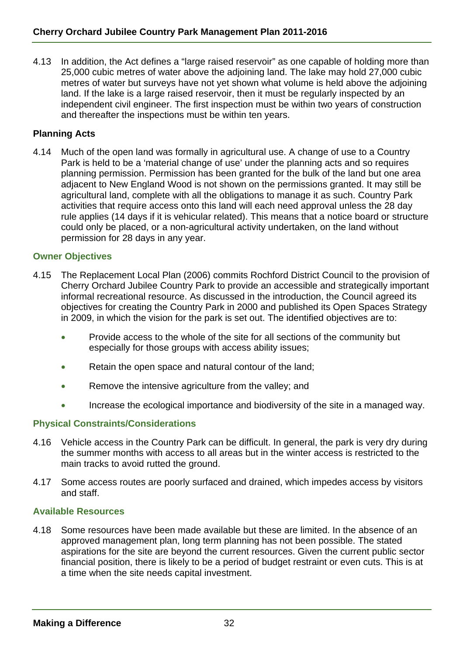4.13 In addition, the Act defines a "large raised reservoir" as one capable of holding more than 25,000 cubic metres of water above the adjoining land. The lake may hold 27,000 cubic metres of water but surveys have not yet shown what volume is held above the adjoining land. If the lake is a large raised reservoir, then it must be regularly inspected by an independent civil engineer. The first inspection must be within two years of construction and thereafter the inspections must be within ten years.

## **Planning Acts**

4.14 Much of the open land was formally in agricultural use. A change of use to a Country Park is held to be a 'material change of use' under the planning acts and so requires planning permission. Permission has been granted for the bulk of the land but one area adjacent to New England Wood is not shown on the permissions granted. It may still be agricultural land, complete with all the obligations to manage it as such. Country Park activities that require access onto this land will each need approval unless the 28 day rule applies (14 days if it is vehicular related). This means that a notice board or structure could only be placed, or a non-agricultural activity undertaken, on the land without permission for 28 days in any year.

#### **Owner Objectives**

- 4.15 The Replacement Local Plan (2006) commits Rochford District Council to the provision of Cherry Orchard Jubilee Country Park to provide an accessible and strategically important informal recreational resource. As discussed in the introduction, the Council agreed its objectives for creating the Country Park in 2000 and published its Open Spaces Strategy in 2009, in which the vision for the park is set out. The identified objectives are to:
	- Provide access to the whole of the site for all sections of the community but especially for those groups with access ability issues;
	- Retain the open space and natural contour of the land;
	- Remove the intensive agriculture from the valley; and
	- Increase the ecological importance and biodiversity of the site in a managed way.

#### **Physical Constraints/Considerations**

- 4.16 Vehicle access in the Country Park can be difficult. In general, the park is very dry during the summer months with access to all areas but in the winter access is restricted to the main tracks to avoid rutted the ground.
- 4.17 Some access routes are poorly surfaced and drained, which impedes access by visitors and staff.

#### **Available Resources**

4.18 Some resources have been made available but these are limited. In the absence of an approved management plan, long term planning has not been possible. The stated aspirations for the site are beyond the current resources. Given the current public sector financial position, there is likely to be a period of budget restraint or even cuts. This is at a time when the site needs capital investment.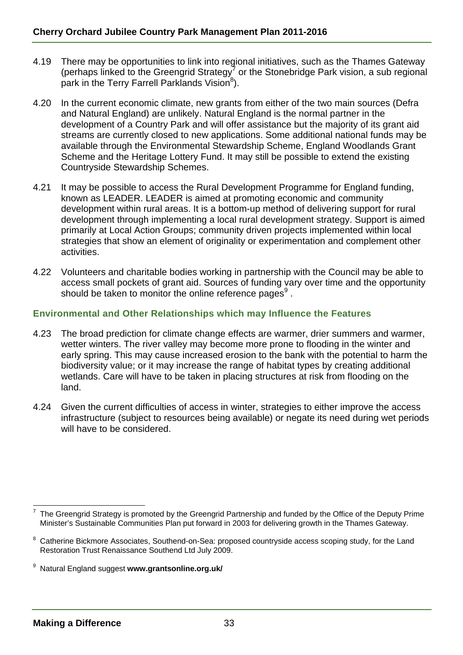- 4.19 There may be opportunities to link into regional initiatives, such as the Thames Gateway (perhaps linked to the Greengrid Strategy<sup>7</sup> or the Stonebridge Park vision, a sub regional park in the Terry Farrell Parklands Vision $^8$ ).
- 4.20 In the current economic climate, new grants from either of the two main sources (Defra and Natural England) are unlikely. Natural England is the normal partner in the development of a Country Park and will offer assistance but the majority of its grant aid streams are currently closed to new applications. Some additional national funds may be available through the Environmental Stewardship Scheme, England Woodlands Grant Scheme and the Heritage Lottery Fund. It may still be possible to extend the existing Countryside Stewardship Schemes.
- 4.21 It may be possible to access the Rural Development Programme for England funding, known as LEADER. LEADER is aimed at promoting economic and community development within rural areas. It is a bottom-up method of delivering support for rural development through implementing a local rural development strategy. Support is aimed primarily at Local Action Groups; community driven projects implemented within local strategies that show an element of originality or experimentation and complement other activities.
- 4.22 Volunteers and charitable bodies working in partnership with the Council may be able to access small pockets of grant aid. Sources of funding vary over time and the opportunity should be taken to monitor the online reference pages $^9$  .

# **Environmental and Other Relationships which may Influence the Features**

- 4.23 The broad prediction for climate change effects are warmer, drier summers and warmer, wetter winters. The river valley may become more prone to flooding in the winter and early spring. This may cause increased erosion to the bank with the potential to harm the biodiversity value; or it may increase the range of habitat types by creating additional wetlands. Care will have to be taken in placing structures at risk from flooding on the land.
- 4.24 Given the current difficulties of access in winter, strategies to either improve the access infrastructure (subject to resources being available) or negate its need during wet periods will have to be considered.

l 7 The Greengrid Strategy is promoted by the Greengrid Partnership and funded by the Office of the Deputy Prime Minister's Sustainable Communities Plan put forward in 2003 for delivering growth in the Thames Gateway.

<sup>8</sup> Catherine Bickmore Associates, Southend-on-Sea: proposed countryside access scoping study, for the Land Restoration Trust Renaissance Southend Ltd July 2009.

<sup>9</sup> Natural England suggest **www.grantsonline.org.uk/**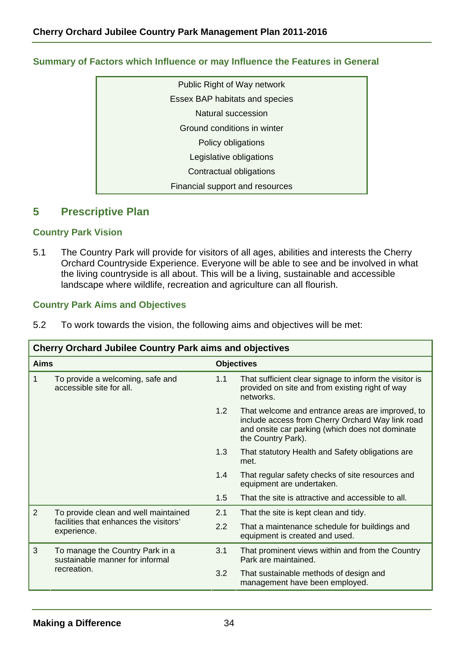| Public Right of Way network     |
|---------------------------------|
| Essex BAP habitats and species  |
| Natural succession              |
| Ground conditions in winter     |
| Policy obligations              |
| Legislative obligations         |
| Contractual obligations         |
| Financial support and resources |

# **Summary of Factors which Influence or may Influence the Features in General**

# **5 Prescriptive Plan**

#### **Country Park Vision**

5.1 The Country Park will provide for visitors of all ages, abilities and interests the Cherry Orchard Countryside Experience. Everyone will be able to see and be involved in what the living countryside is all about. This will be a living, sustainable and accessible landscape where wildlife, recreation and agriculture can all flourish.

## **Country Park Aims and Objectives**

| 5.2 | To work towards the vision, the following aims and objectives will be met: |  |  |  |  |
|-----|----------------------------------------------------------------------------|--|--|--|--|
|-----|----------------------------------------------------------------------------|--|--|--|--|

| <b>Cherry Orchard Jubilee Country Park aims and objectives</b> |                                                                                               |     |                                                                                                                                                                               |  |  |  |
|----------------------------------------------------------------|-----------------------------------------------------------------------------------------------|-----|-------------------------------------------------------------------------------------------------------------------------------------------------------------------------------|--|--|--|
| <b>Aims</b>                                                    |                                                                                               |     | <b>Objectives</b>                                                                                                                                                             |  |  |  |
| 1                                                              | To provide a welcoming, safe and<br>accessible site for all.                                  | 1.1 | That sufficient clear signage to inform the visitor is<br>provided on site and from existing right of way<br>networks.                                                        |  |  |  |
|                                                                |                                                                                               | 1.2 | That welcome and entrance areas are improved, to<br>include access from Cherry Orchard Way link road<br>and onsite car parking (which does not dominate<br>the Country Park). |  |  |  |
|                                                                |                                                                                               | 1.3 | That statutory Health and Safety obligations are<br>met.                                                                                                                      |  |  |  |
|                                                                |                                                                                               | 1.4 | That regular safety checks of site resources and<br>equipment are undertaken.                                                                                                 |  |  |  |
|                                                                |                                                                                               | 1.5 | That the site is attractive and accessible to all.                                                                                                                            |  |  |  |
| $\overline{2}$                                                 | To provide clean and well maintained<br>facilities that enhances the visitors'<br>experience. |     | That the site is kept clean and tidy.                                                                                                                                         |  |  |  |
|                                                                |                                                                                               |     | That a maintenance schedule for buildings and<br>equipment is created and used.                                                                                               |  |  |  |
| 3                                                              | To manage the Country Park in a<br>sustainable manner for informal<br>recreation.             |     | That prominent views within and from the Country<br>Park are maintained.                                                                                                      |  |  |  |
|                                                                |                                                                                               |     | That sustainable methods of design and<br>management have been employed.                                                                                                      |  |  |  |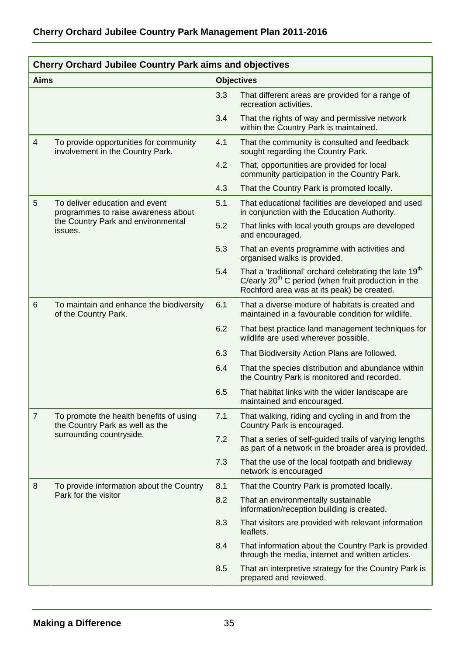|                | <b>Cherry Orchard Jubilee Country Park aims and objectives</b>             |     |                                                                                                                                                                           |  |  |  |  |  |
|----------------|----------------------------------------------------------------------------|-----|---------------------------------------------------------------------------------------------------------------------------------------------------------------------------|--|--|--|--|--|
| <b>Aims</b>    |                                                                            |     | <b>Objectives</b>                                                                                                                                                         |  |  |  |  |  |
|                |                                                                            | 3.3 | That different areas are provided for a range of<br>recreation activities.                                                                                                |  |  |  |  |  |
|                |                                                                            | 3.4 | That the rights of way and permissive network<br>within the Country Park is maintained.                                                                                   |  |  |  |  |  |
| $\overline{4}$ | To provide opportunities for community<br>involvement in the Country Park. | 4.1 | That the community is consulted and feedback<br>sought regarding the Country Park.                                                                                        |  |  |  |  |  |
|                |                                                                            | 4.2 | That, opportunities are provided for local<br>community participation in the Country Park.                                                                                |  |  |  |  |  |
|                |                                                                            | 4.3 | That the Country Park is promoted locally.                                                                                                                                |  |  |  |  |  |
| 5              | To deliver education and event<br>programmes to raise awareness about      | 5.1 | That educational facilities are developed and used<br>in conjunction with the Education Authority.                                                                        |  |  |  |  |  |
|                | the Country Park and environmental<br>issues.                              | 5.2 | That links with local youth groups are developed<br>and encouraged.                                                                                                       |  |  |  |  |  |
|                |                                                                            |     | That an events programme with activities and<br>organised walks is provided.                                                                                              |  |  |  |  |  |
|                |                                                                            | 5.4 | That a 'traditional' orchard celebrating the late 19 <sup>th</sup><br>C/early $20th$ C period (when fruit production in the<br>Rochford area was at its peak) be created. |  |  |  |  |  |
| 6              | To maintain and enhance the biodiversity<br>of the Country Park.           | 6.1 | That a diverse mixture of habitats is created and<br>maintained in a favourable condition for wildlife.                                                                   |  |  |  |  |  |
|                |                                                                            | 6.2 | That best practice land management techniques for<br>wildlife are used wherever possible.                                                                                 |  |  |  |  |  |
|                |                                                                            | 6.3 | That Biodiversity Action Plans are followed.                                                                                                                              |  |  |  |  |  |
|                |                                                                            | 6.4 | That the species distribution and abundance within<br>the Country Park is monitored and recorded.                                                                         |  |  |  |  |  |
|                |                                                                            | 6.5 | That habitat links with the wider landscape are<br>maintained and encouraged.                                                                                             |  |  |  |  |  |
| $\overline{7}$ | To promote the health benefits of using<br>the Country Park as well as the | 7.1 | That walking, riding and cycling in and from the<br>Country Park is encouraged.                                                                                           |  |  |  |  |  |
|                | surrounding countryside.                                                   |     | That a series of self-guided trails of varying lengths<br>as part of a network in the broader area is provided.                                                           |  |  |  |  |  |
|                |                                                                            | 7.3 | That the use of the local footpath and bridleway<br>network is encouraged                                                                                                 |  |  |  |  |  |
| 8              | To provide information about the Country                                   | 8.1 | That the Country Park is promoted locally.                                                                                                                                |  |  |  |  |  |
|                | Park for the visitor                                                       | 8.2 | That an environmentally sustainable<br>information/reception building is created.                                                                                         |  |  |  |  |  |
|                |                                                                            | 8.3 | That visitors are provided with relevant information<br>leaflets.                                                                                                         |  |  |  |  |  |
|                |                                                                            | 8.4 | That information about the Country Park is provided<br>through the media, internet and written articles.                                                                  |  |  |  |  |  |
|                |                                                                            | 8.5 | That an interpretive strategy for the Country Park is<br>prepared and reviewed.                                                                                           |  |  |  |  |  |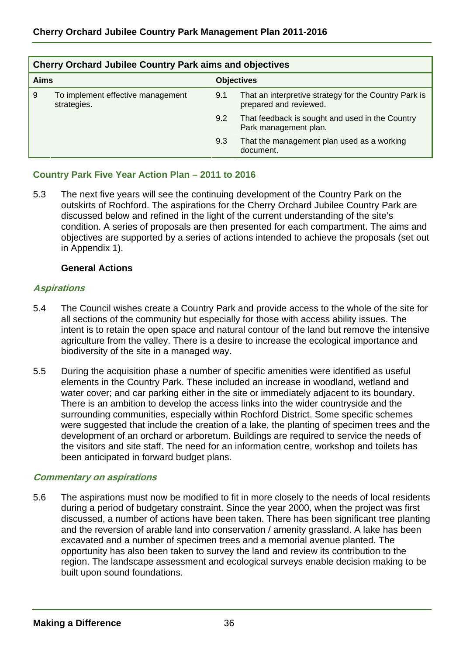|             | <b>Cherry Orchard Jubilee Country Park aims and objectives</b> |     |                                                                                 |  |  |  |  |  |
|-------------|----------------------------------------------------------------|-----|---------------------------------------------------------------------------------|--|--|--|--|--|
| <b>Aims</b> |                                                                |     | <b>Objectives</b>                                                               |  |  |  |  |  |
| 9           | To implement effective management<br>strategies.               | 9.1 | That an interpretive strategy for the Country Park is<br>prepared and reviewed. |  |  |  |  |  |
|             |                                                                | 9.2 | That feedback is sought and used in the Country<br>Park management plan.        |  |  |  |  |  |
|             |                                                                | 9.3 | That the management plan used as a working<br>document.                         |  |  |  |  |  |

## **Country Park Five Year Action Plan – 2011 to 2016**

5.3 The next five years will see the continuing development of the Country Park on the outskirts of Rochford. The aspirations for the Cherry Orchard Jubilee Country Park are discussed below and refined in the light of the current understanding of the site's condition. A series of proposals are then presented for each compartment. The aims and objectives are supported by a series of actions intended to achieve the proposals (set out in Appendix 1).

#### **General Actions**

#### **Aspirations**

- 5.4 The Council wishes create a Country Park and provide access to the whole of the site for all sections of the community but especially for those with access ability issues. The intent is to retain the open space and natural contour of the land but remove the intensive agriculture from the valley. There is a desire to increase the ecological importance and biodiversity of the site in a managed way.
- 5.5 During the acquisition phase a number of specific amenities were identified as useful elements in the Country Park. These included an increase in woodland, wetland and water cover; and car parking either in the site or immediately adjacent to its boundary. There is an ambition to develop the access links into the wider countryside and the surrounding communities, especially within Rochford District. Some specific schemes were suggested that include the creation of a lake, the planting of specimen trees and the development of an orchard or arboretum. Buildings are required to service the needs of the visitors and site staff. The need for an information centre, workshop and toilets has been anticipated in forward budget plans.

#### **Commentary on aspirations**

5.6 The aspirations must now be modified to fit in more closely to the needs of local residents during a period of budgetary constraint. Since the year 2000, when the project was first discussed, a number of actions have been taken. There has been significant tree planting and the reversion of arable land into conservation / amenity grassland. A lake has been excavated and a number of specimen trees and a memorial avenue planted. The opportunity has also been taken to survey the land and review its contribution to the region. The landscape assessment and ecological surveys enable decision making to be built upon sound foundations.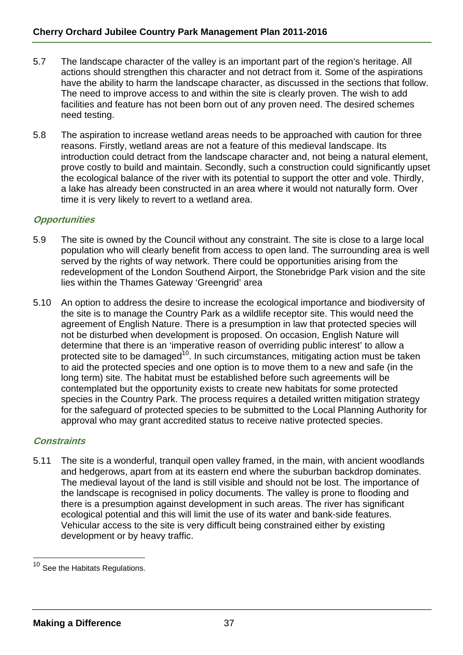- 5.7 The landscape character of the valley is an important part of the region's heritage. All actions should strengthen this character and not detract from it. Some of the aspirations have the ability to harm the landscape character, as discussed in the sections that follow. The need to improve access to and within the site is clearly proven. The wish to add facilities and feature has not been born out of any proven need. The desired schemes need testing.
- 5.8 The aspiration to increase wetland areas needs to be approached with caution for three reasons. Firstly, wetland areas are not a feature of this medieval landscape. Its introduction could detract from the landscape character and, not being a natural element, prove costly to build and maintain. Secondly, such a construction could significantly upset the ecological balance of the river with its potential to support the otter and vole. Thirdly, a lake has already been constructed in an area where it would not naturally form. Over time it is very likely to revert to a wetland area.

# **Opportunities**

- 5.9 The site is owned by the Council without any constraint. The site is close to a large local population who will clearly benefit from access to open land. The surrounding area is well served by the rights of way network. There could be opportunities arising from the redevelopment of the London Southend Airport, the Stonebridge Park vision and the site lies within the Thames Gateway 'Greengrid' area
- 5.10 An option to address the desire to increase the ecological importance and biodiversity of the site is to manage the Country Park as a wildlife receptor site. This would need the agreement of English Nature. There is a presumption in law that protected species will not be disturbed when development is proposed. On occasion, English Nature will determine that there is an 'imperative reason of overriding public interest' to allow a protected site to be damaged<sup>10</sup>. In such circumstances, mitigating action must be taken to aid the protected species and one option is to move them to a new and safe (in the long term) site. The habitat must be established before such agreements will be contemplated but the opportunity exists to create new habitats for some protected species in the Country Park. The process requires a detailed written mitigation strategy for the safeguard of protected species to be submitted to the Local Planning Authority for approval who may grant accredited status to receive native protected species.

#### **Constraints**

l

5.11 The site is a wonderful, tranquil open valley framed, in the main, with ancient woodlands and hedgerows, apart from at its eastern end where the suburban backdrop dominates. The medieval layout of the land is still visible and should not be lost. The importance of the landscape is recognised in policy documents. The valley is prone to flooding and there is a presumption against development in such areas. The river has significant ecological potential and this will limit the use of its water and bank-side features. Vehicular access to the site is very difficult being constrained either by existing development or by heavy traffic.

 $10$  See the Habitats Regulations.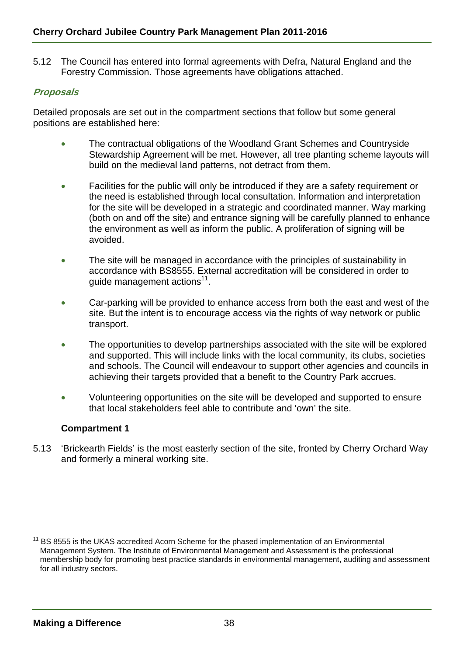5.12 The Council has entered into formal agreements with Defra, Natural England and the Forestry Commission. Those agreements have obligations attached.

# **Proposals**

Detailed proposals are set out in the compartment sections that follow but some general positions are established here:

- The contractual obligations of the Woodland Grant Schemes and Countryside Stewardship Agreement will be met. However, all tree planting scheme layouts will build on the medieval land patterns, not detract from them.
- Facilities for the public will only be introduced if they are a safety requirement or the need is established through local consultation. Information and interpretation for the site will be developed in a strategic and coordinated manner. Way marking (both on and off the site) and entrance signing will be carefully planned to enhance the environment as well as inform the public. A proliferation of signing will be avoided.
- The site will be managed in accordance with the principles of sustainability in accordance with BS8555. External accreditation will be considered in order to quide management actions<sup>11</sup>.
- Car-parking will be provided to enhance access from both the east and west of the site. But the intent is to encourage access via the rights of way network or public transport.
- The opportunities to develop partnerships associated with the site will be explored and supported. This will include links with the local community, its clubs, societies and schools. The Council will endeavour to support other agencies and councils in achieving their targets provided that a benefit to the Country Park accrues.
- Volunteering opportunities on the site will be developed and supported to ensure that local stakeholders feel able to contribute and 'own' the site.

# **Compartment 1**

5.13 'Brickearth Fields' is the most easterly section of the site, fronted by Cherry Orchard Way and formerly a mineral working site.

l <sup>11</sup> BS 8555 is the UKAS accredited Acorn Scheme for the phased implementation of an Environmental Management System. The Institute of Environmental Management and Assessment is the professional membership body for promoting best practice standards in environmental management, auditing and assessment for all industry sectors.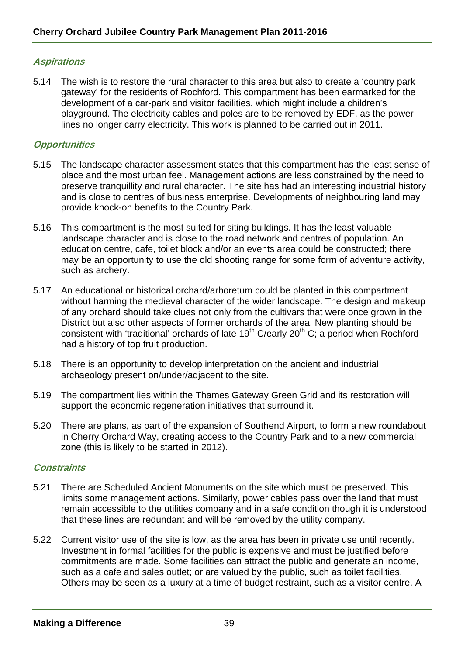# **Aspirations**

5.14 The wish is to restore the rural character to this area but also to create a 'country park gateway' for the residents of Rochford. This compartment has been earmarked for the development of a car-park and visitor facilities, which might include a children's playground. The electricity cables and poles are to be removed by EDF, as the power lines no longer carry electricity. This work is planned to be carried out in 2011.

## **Opportunities**

- 5.15 The landscape character assessment states that this compartment has the least sense of place and the most urban feel. Management actions are less constrained by the need to preserve tranquillity and rural character. The site has had an interesting industrial history and is close to centres of business enterprise. Developments of neighbouring land may provide knock-on benefits to the Country Park.
- 5.16 This compartment is the most suited for siting buildings. It has the least valuable landscape character and is close to the road network and centres of population. An education centre, cafe, toilet block and/or an events area could be constructed; there may be an opportunity to use the old shooting range for some form of adventure activity, such as archery.
- 5.17 An educational or historical orchard/arboretum could be planted in this compartment without harming the medieval character of the wider landscape. The design and makeup of any orchard should take clues not only from the cultivars that were once grown in the District but also other aspects of former orchards of the area. New planting should be consistent with 'traditional' orchards of late 19<sup>th</sup> C/early 20<sup>th</sup> C; a period when Rochford had a history of top fruit production.
- 5.18 There is an opportunity to develop interpretation on the ancient and industrial archaeology present on/under/adjacent to the site.
- 5.19 The compartment lies within the Thames Gateway Green Grid and its restoration will support the economic regeneration initiatives that surround it.
- 5.20 There are plans, as part of the expansion of Southend Airport, to form a new roundabout in Cherry Orchard Way, creating access to the Country Park and to a new commercial zone (this is likely to be started in 2012).

#### **Constraints**

- 5.21 There are Scheduled Ancient Monuments on the site which must be preserved. This limits some management actions. Similarly, power cables pass over the land that must remain accessible to the utilities company and in a safe condition though it is understood that these lines are redundant and will be removed by the utility company.
- 5.22 Current visitor use of the site is low, as the area has been in private use until recently. Investment in formal facilities for the public is expensive and must be justified before commitments are made. Some facilities can attract the public and generate an income, such as a cafe and sales outlet; or are valued by the public, such as toilet facilities. Others may be seen as a luxury at a time of budget restraint, such as a visitor centre. A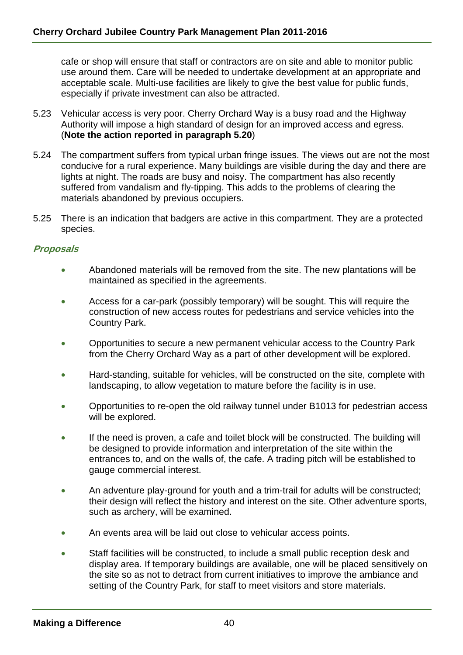cafe or shop will ensure that staff or contractors are on site and able to monitor public use around them. Care will be needed to undertake development at an appropriate and acceptable scale. Multi-use facilities are likely to give the best value for public funds, especially if private investment can also be attracted.

- 5.23 Vehicular access is very poor. Cherry Orchard Way is a busy road and the Highway Authority will impose a high standard of design for an improved access and egress. (**Note the action reported in paragraph 5.20**)
- 5.24 The compartment suffers from typical urban fringe issues. The views out are not the most conducive for a rural experience. Many buildings are visible during the day and there are lights at night. The roads are busy and noisy. The compartment has also recently suffered from vandalism and fly-tipping. This adds to the problems of clearing the materials abandoned by previous occupiers.
- 5.25 There is an indication that badgers are active in this compartment. They are a protected species.

## **Proposals**

- Abandoned materials will be removed from the site. The new plantations will be maintained as specified in the agreements.
- Access for a car-park (possibly temporary) will be sought. This will require the construction of new access routes for pedestrians and service vehicles into the Country Park.
- Opportunities to secure a new permanent vehicular access to the Country Park from the Cherry Orchard Way as a part of other development will be explored.
- Hard-standing, suitable for vehicles, will be constructed on the site, complete with landscaping, to allow vegetation to mature before the facility is in use.
- Opportunities to re-open the old railway tunnel under B1013 for pedestrian access will be explored.
- If the need is proven, a cafe and toilet block will be constructed. The building will be designed to provide information and interpretation of the site within the entrances to, and on the walls of, the cafe. A trading pitch will be established to gauge commercial interest.
- An adventure play-ground for youth and a trim-trail for adults will be constructed; their design will reflect the history and interest on the site. Other adventure sports, such as archery, will be examined.
- An events area will be laid out close to vehicular access points.
- Staff facilities will be constructed, to include a small public reception desk and display area. If temporary buildings are available, one will be placed sensitively on the site so as not to detract from current initiatives to improve the ambiance and setting of the Country Park, for staff to meet visitors and store materials.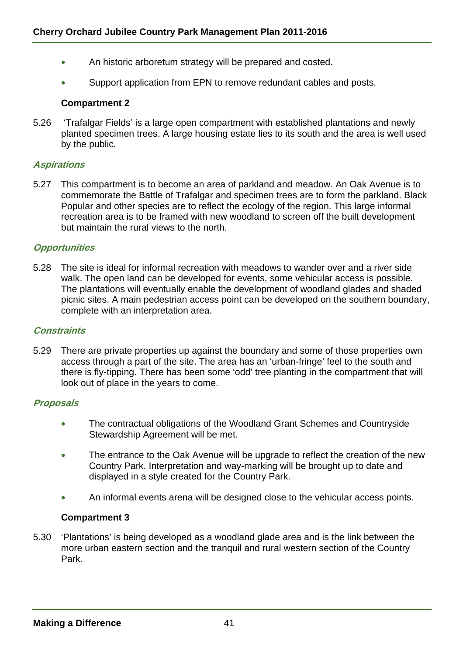- An historic arboretum strategy will be prepared and costed.
- Support application from EPN to remove redundant cables and posts.

## **Compartment 2**

5.26 'Trafalgar Fields' is a large open compartment with established plantations and newly planted specimen trees. A large housing estate lies to its south and the area is well used by the public.

## **Aspirations**

5.27 This compartment is to become an area of parkland and meadow. An Oak Avenue is to commemorate the Battle of Trafalgar and specimen trees are to form the parkland. Black Popular and other species are to reflect the ecology of the region. This large informal recreation area is to be framed with new woodland to screen off the built development but maintain the rural views to the north.

## **Opportunities**

5.28 The site is ideal for informal recreation with meadows to wander over and a river side walk. The open land can be developed for events, some vehicular access is possible. The plantations will eventually enable the development of woodland glades and shaded picnic sites. A main pedestrian access point can be developed on the southern boundary, complete with an interpretation area.

#### **Constraints**

5.29 There are private properties up against the boundary and some of those properties own access through a part of the site. The area has an 'urban-fringe' feel to the south and there is fly-tipping. There has been some 'odd' tree planting in the compartment that will look out of place in the years to come.

#### **Proposals**

- The contractual obligations of the Woodland Grant Schemes and Countryside Stewardship Agreement will be met.
- The entrance to the Oak Avenue will be upgrade to reflect the creation of the new Country Park. Interpretation and way-marking will be brought up to date and displayed in a style created for the Country Park.
- An informal events arena will be designed close to the vehicular access points.

# **Compartment 3**

5.30 'Plantations' is being developed as a woodland glade area and is the link between the more urban eastern section and the tranquil and rural western section of the Country Park.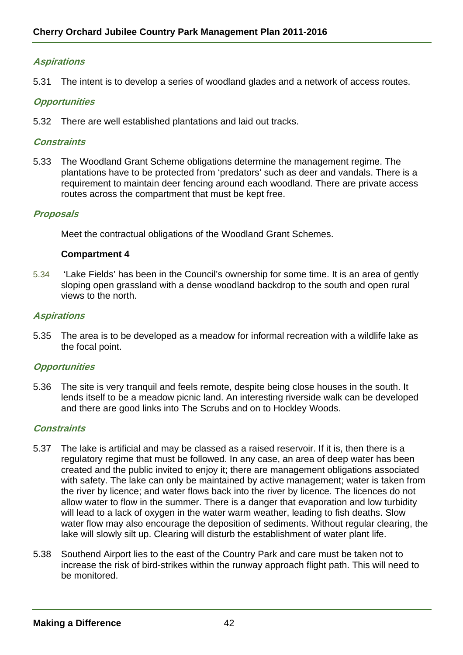# **Aspirations**

5.31 The intent is to develop a series of woodland glades and a network of access routes.

#### **Opportunities**

5.32 There are well established plantations and laid out tracks.

#### **Constraints**

5.33 The Woodland Grant Scheme obligations determine the management regime. The plantations have to be protected from 'predators' such as deer and vandals. There is a requirement to maintain deer fencing around each woodland. There are private access routes across the compartment that must be kept free.

#### **Proposals**

Meet the contractual obligations of the Woodland Grant Schemes.

#### **Compartment 4**

5.34 'Lake Fields' has been in the Council's ownership for some time. It is an area of gently sloping open grassland with a dense woodland backdrop to the south and open rural views to the north.

#### **Aspirations**

5.35 The area is to be developed as a meadow for informal recreation with a wildlife lake as the focal point.

#### **Opportunities**

5.36 The site is very tranquil and feels remote, despite being close houses in the south. It lends itself to be a meadow picnic land. An interesting riverside walk can be developed and there are good links into The Scrubs and on to Hockley Woods.

#### **Constraints**

- 5.37 The lake is artificial and may be classed as a raised reservoir. If it is, then there is a regulatory regime that must be followed. In any case, an area of deep water has been created and the public invited to enjoy it; there are management obligations associated with safety. The lake can only be maintained by active management; water is taken from the river by licence; and water flows back into the river by licence. The licences do not allow water to flow in the summer. There is a danger that evaporation and low turbidity will lead to a lack of oxygen in the water warm weather, leading to fish deaths. Slow water flow may also encourage the deposition of sediments. Without regular clearing, the lake will slowly silt up. Clearing will disturb the establishment of water plant life.
- 5.38 Southend Airport lies to the east of the Country Park and care must be taken not to increase the risk of bird-strikes within the runway approach flight path. This will need to be monitored.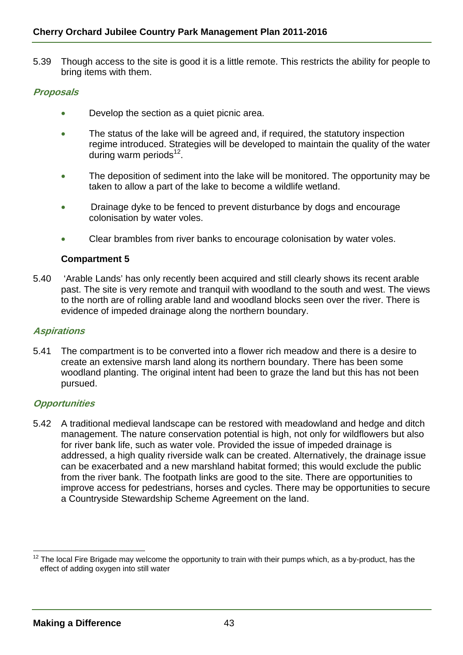5.39 Though access to the site is good it is a little remote. This restricts the ability for people to bring items with them.

# **Proposals**

- Develop the section as a quiet picnic area.
- The status of the lake will be agreed and, if required, the statutory inspection regime introduced. Strategies will be developed to maintain the quality of the water during warm periods $^{12}$ .
- The deposition of sediment into the lake will be monitored. The opportunity may be taken to allow a part of the lake to become a wildlife wetland.
- Drainage dyke to be fenced to prevent disturbance by dogs and encourage colonisation by water voles.
- Clear brambles from river banks to encourage colonisation by water voles.

## **Compartment 5**

5.40 'Arable Lands' has only recently been acquired and still clearly shows its recent arable past. The site is very remote and tranquil with woodland to the south and west. The views to the north are of rolling arable land and woodland blocks seen over the river. There is evidence of impeded drainage along the northern boundary.

#### **Aspirations**

5.41 The compartment is to be converted into a flower rich meadow and there is a desire to create an extensive marsh land along its northern boundary. There has been some woodland planting. The original intent had been to graze the land but this has not been pursued.

#### **Opportunities**

5.42 A traditional medieval landscape can be restored with meadowland and hedge and ditch management. The nature conservation potential is high, not only for wildflowers but also for river bank life, such as water vole. Provided the issue of impeded drainage is addressed, a high quality riverside walk can be created. Alternatively, the drainage issue can be exacerbated and a new marshland habitat formed; this would exclude the public from the river bank. The footpath links are good to the site. There are opportunities to improve access for pedestrians, horses and cycles. There may be opportunities to secure a Countryside Stewardship Scheme Agreement on the land.

l  $12$  The local Fire Brigade may welcome the opportunity to train with their pumps which, as a by-product, has the effect of adding oxygen into still water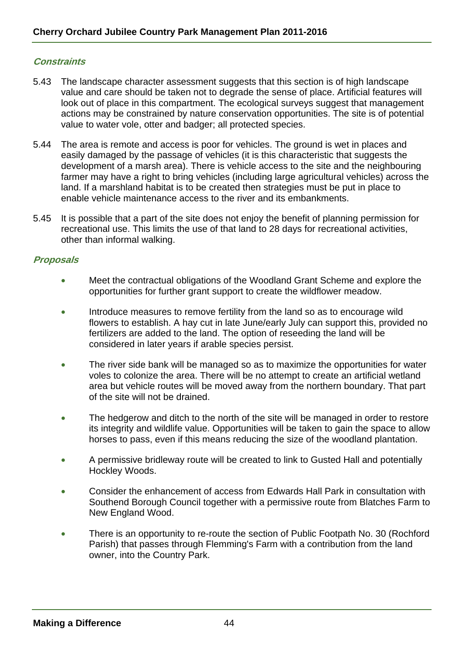# **Constraints**

- 5.43 The landscape character assessment suggests that this section is of high landscape value and care should be taken not to degrade the sense of place. Artificial features will look out of place in this compartment. The ecological surveys suggest that management actions may be constrained by nature conservation opportunities. The site is of potential value to water vole, otter and badger; all protected species.
- 5.44 The area is remote and access is poor for vehicles. The ground is wet in places and easily damaged by the passage of vehicles (it is this characteristic that suggests the development of a marsh area). There is vehicle access to the site and the neighbouring farmer may have a right to bring vehicles (including large agricultural vehicles) across the land. If a marshland habitat is to be created then strategies must be put in place to enable vehicle maintenance access to the river and its embankments.
- 5.45 It is possible that a part of the site does not enjoy the benefit of planning permission for recreational use. This limits the use of that land to 28 days for recreational activities, other than informal walking.

# **Proposals**

- Meet the contractual obligations of the Woodland Grant Scheme and explore the opportunities for further grant support to create the wildflower meadow.
- Introduce measures to remove fertility from the land so as to encourage wild flowers to establish. A hay cut in late June/early July can support this, provided no fertilizers are added to the land. The option of reseeding the land will be considered in later years if arable species persist.
- The river side bank will be managed so as to maximize the opportunities for water voles to colonize the area. There will be no attempt to create an artificial wetland area but vehicle routes will be moved away from the northern boundary. That part of the site will not be drained.
- The hedgerow and ditch to the north of the site will be managed in order to restore its integrity and wildlife value. Opportunities will be taken to gain the space to allow horses to pass, even if this means reducing the size of the woodland plantation.
- A permissive bridleway route will be created to link to Gusted Hall and potentially Hockley Woods.
- Consider the enhancement of access from Edwards Hall Park in consultation with Southend Borough Council together with a permissive route from Blatches Farm to New England Wood.
- There is an opportunity to re-route the section of Public Footpath No. 30 (Rochford Parish) that passes through Flemming's Farm with a contribution from the land owner, into the Country Park.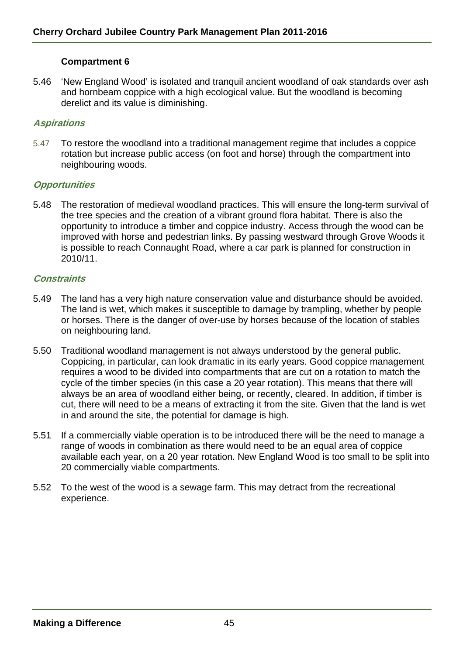## **Compartment 6**

5.46 'New England Wood' is isolated and tranquil ancient woodland of oak standards over ash and hornbeam coppice with a high ecological value. But the woodland is becoming derelict and its value is diminishing.

## **Aspirations**

5.47 To restore the woodland into a traditional management regime that includes a coppice rotation but increase public access (on foot and horse) through the compartment into neighbouring woods.

#### **Opportunities**

5.48 The restoration of medieval woodland practices. This will ensure the long-term survival of the tree species and the creation of a vibrant ground flora habitat. There is also the opportunity to introduce a timber and coppice industry. Access through the wood can be improved with horse and pedestrian links. By passing westward through Grove Woods it is possible to reach Connaught Road, where a car park is planned for construction in 2010/11.

#### **Constraints**

- 5.49 The land has a very high nature conservation value and disturbance should be avoided. The land is wet, which makes it susceptible to damage by trampling, whether by people or horses. There is the danger of over-use by horses because of the location of stables on neighbouring land.
- 5.50 Traditional woodland management is not always understood by the general public. Coppicing, in particular, can look dramatic in its early years. Good coppice management requires a wood to be divided into compartments that are cut on a rotation to match the cycle of the timber species (in this case a 20 year rotation). This means that there will always be an area of woodland either being, or recently, cleared. In addition, if timber is cut, there will need to be a means of extracting it from the site. Given that the land is wet in and around the site, the potential for damage is high.
- 5.51 If a commercially viable operation is to be introduced there will be the need to manage a range of woods in combination as there would need to be an equal area of coppice available each year, on a 20 year rotation. New England Wood is too small to be split into 20 commercially viable compartments.
- 5.52 To the west of the wood is a sewage farm. This may detract from the recreational experience.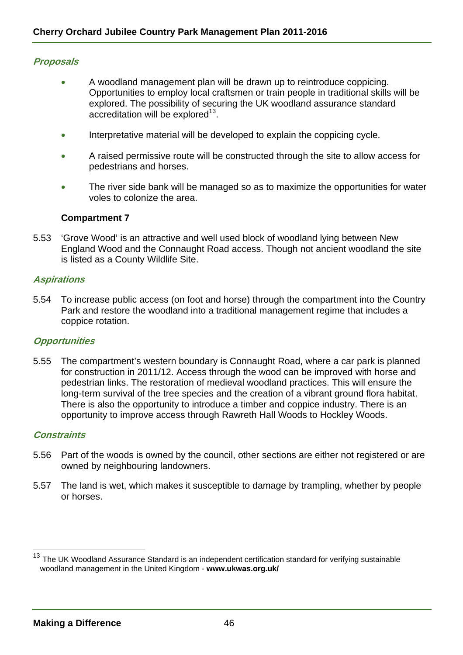## **Proposals**

- A woodland management plan will be drawn up to reintroduce coppicing. Opportunities to employ local craftsmen or train people in traditional skills will be explored. The possibility of securing the UK woodland assurance standard accreditation will be explored<sup>13</sup>.
- Interpretative material will be developed to explain the coppicing cycle.
- A raised permissive route will be constructed through the site to allow access for pedestrians and horses.
- The river side bank will be managed so as to maximize the opportunities for water voles to colonize the area.

#### **Compartment 7**

5.53 'Grove Wood' is an attractive and well used block of woodland lying between New England Wood and the Connaught Road access. Though not ancient woodland the site is listed as a County Wildlife Site.

# **Aspirations**

5.54 To increase public access (on foot and horse) through the compartment into the Country Park and restore the woodland into a traditional management regime that includes a coppice rotation.

#### **Opportunities**

5.55 The compartment's western boundary is Connaught Road, where a car park is planned for construction in 2011/12. Access through the wood can be improved with horse and pedestrian links. The restoration of medieval woodland practices. This will ensure the long-term survival of the tree species and the creation of a vibrant ground flora habitat. There is also the opportunity to introduce a timber and coppice industry. There is an opportunity to improve access through Rawreth Hall Woods to Hockley Woods.

# **Constraints**

l

- 5.56 Part of the woods is owned by the council, other sections are either not registered or are owned by neighbouring landowners.
- 5.57 The land is wet, which makes it susceptible to damage by trampling, whether by people or horses.

The UK Woodland Assurance Standard is an independent certification standard for verifying sustainable woodland management in the United Kingdom - **www.ukwas.org.uk/**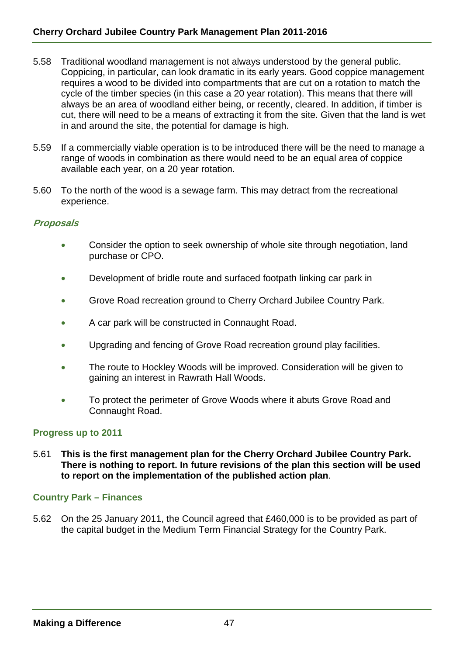- 5.58 Traditional woodland management is not always understood by the general public. Coppicing, in particular, can look dramatic in its early years. Good coppice management requires a wood to be divided into compartments that are cut on a rotation to match the cycle of the timber species (in this case a 20 year rotation). This means that there will always be an area of woodland either being, or recently, cleared. In addition, if timber is cut, there will need to be a means of extracting it from the site. Given that the land is wet in and around the site, the potential for damage is high.
- 5.59 If a commercially viable operation is to be introduced there will be the need to manage a range of woods in combination as there would need to be an equal area of coppice available each year, on a 20 year rotation.
- 5.60 To the north of the wood is a sewage farm. This may detract from the recreational experience.

## **Proposals**

- Consider the option to seek ownership of whole site through negotiation, land purchase or CPO.
- Development of bridle route and surfaced footpath linking car park in
- Grove Road recreation ground to Cherry Orchard Jubilee Country Park.
- A car park will be constructed in Connaught Road.
- Upgrading and fencing of Grove Road recreation ground play facilities.
- The route to Hockley Woods will be improved. Consideration will be given to gaining an interest in Rawrath Hall Woods.
- To protect the perimeter of Grove Woods where it abuts Grove Road and Connaught Road.

#### **Progress up to 2011**

5.61 **This is the first management plan for the Cherry Orchard Jubilee Country Park. There is nothing to report. In future revisions of the plan this section will be used to report on the implementation of the published action plan**.

#### **Country Park – Finances**

5.62 On the 25 January 2011, the Council agreed that £460,000 is to be provided as part of the capital budget in the Medium Term Financial Strategy for the Country Park.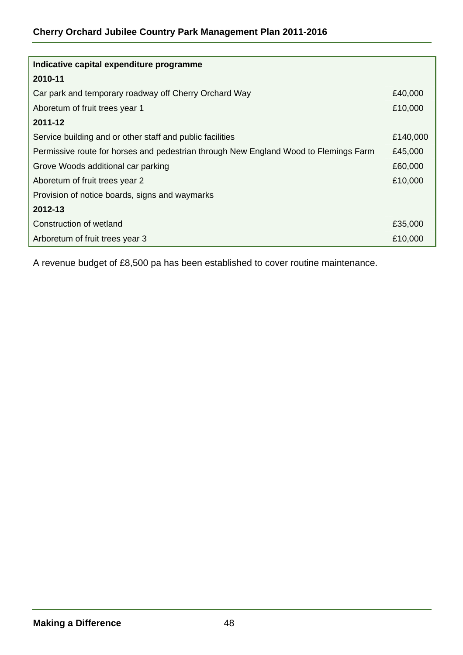| Indicative capital expenditure programme                                             |         |  |  |  |  |
|--------------------------------------------------------------------------------------|---------|--|--|--|--|
| 2010-11                                                                              |         |  |  |  |  |
| Car park and temporary roadway off Cherry Orchard Way                                | £40,000 |  |  |  |  |
| Aboretum of fruit trees year 1                                                       | £10,000 |  |  |  |  |
| 2011-12                                                                              |         |  |  |  |  |
| Service building and or other staff and public facilities                            |         |  |  |  |  |
| Permissive route for horses and pedestrian through New England Wood to Flemings Farm | £45,000 |  |  |  |  |
| Grove Woods additional car parking                                                   | £60,000 |  |  |  |  |
| Aboretum of fruit trees year 2                                                       | £10,000 |  |  |  |  |
| Provision of notice boards, signs and waymarks                                       |         |  |  |  |  |
| 2012-13                                                                              |         |  |  |  |  |
| Construction of wetland                                                              | £35,000 |  |  |  |  |
| Arboretum of fruit trees year 3                                                      | £10,000 |  |  |  |  |

A revenue budget of £8,500 pa has been established to cover routine maintenance.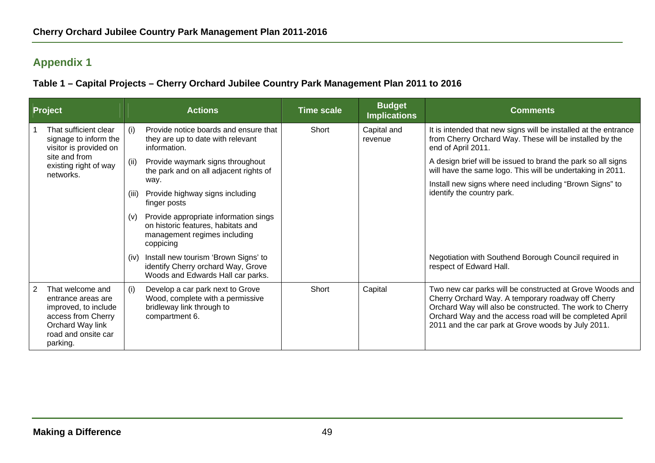# **Appendix 1**

**Table 1 – Capital Projects – Cherry Orchard Jubilee Country Park Management Plan 2011 to 2016** 

| Project |                                                                                                                                             |       | <b>Actions</b>                                                                                                           | <b>Time scale</b> | <b>Budget</b><br><b>Implications</b> | <b>Comments</b>                                                                                                                                                                                                                                                                             |
|---------|---------------------------------------------------------------------------------------------------------------------------------------------|-------|--------------------------------------------------------------------------------------------------------------------------|-------------------|--------------------------------------|---------------------------------------------------------------------------------------------------------------------------------------------------------------------------------------------------------------------------------------------------------------------------------------------|
|         | That sufficient clear<br>signage to inform the<br>visitor is provided on                                                                    | (i)   | Provide notice boards and ensure that<br>they are up to date with relevant<br>information.                               | Short             | Capital and<br>revenue               | It is intended that new signs will be installed at the entrance<br>from Cherry Orchard Way. These will be installed by the<br>end of April 2011.                                                                                                                                            |
|         | site and from<br>existing right of way<br>networks.                                                                                         | (ii)  | Provide waymark signs throughout<br>the park and on all adjacent rights of                                               |                   |                                      | A design brief will be issued to brand the park so all signs<br>will have the same logo. This will be undertaking in 2011.                                                                                                                                                                  |
|         |                                                                                                                                             | (iii) | way.<br>Provide highway signs including<br>finger posts                                                                  |                   |                                      | Install new signs where need including "Brown Signs" to<br>identify the country park.                                                                                                                                                                                                       |
|         |                                                                                                                                             | (v)   | Provide appropriate information sings<br>on historic features, habitats and<br>management regimes including<br>coppicing |                   |                                      |                                                                                                                                                                                                                                                                                             |
|         |                                                                                                                                             | (iv)  | Install new tourism 'Brown Signs' to<br>identify Cherry orchard Way, Grove<br>Woods and Edwards Hall car parks.          |                   |                                      | Negotiation with Southend Borough Council required in<br>respect of Edward Hall.                                                                                                                                                                                                            |
| 2       | That welcome and<br>entrance areas are<br>improved, to include<br>access from Cherry<br>Orchard Way link<br>road and onsite car<br>parking. | (i)   | Develop a car park next to Grove<br>Wood, complete with a permissive<br>bridleway link through to<br>compartment 6.      | Short             | Capital                              | Two new car parks will be constructed at Grove Woods and<br>Cherry Orchard Way. A temporary roadway off Cherry<br>Orchard Way will also be constructed. The work to Cherry<br>Orchard Way and the access road will be completed April<br>2011 and the car park at Grove woods by July 2011. |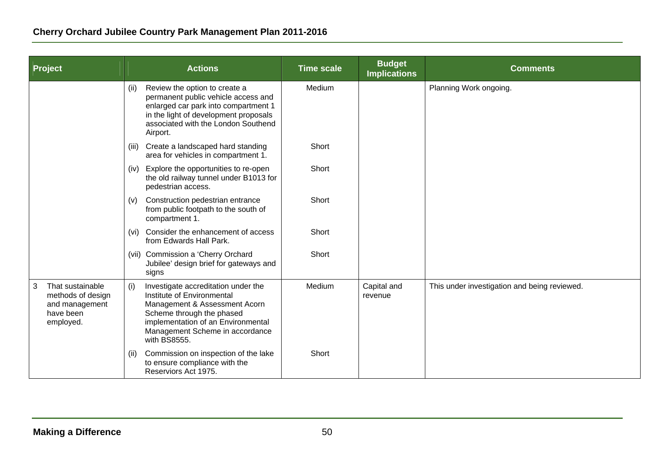| Project                                                                                | <b>Actions</b> |                                                                                                                                                                                                                          | <b>Time scale</b> | <b>Budget</b><br><b>Implications</b> | <b>Comments</b>                              |
|----------------------------------------------------------------------------------------|----------------|--------------------------------------------------------------------------------------------------------------------------------------------------------------------------------------------------------------------------|-------------------|--------------------------------------|----------------------------------------------|
|                                                                                        | (ii)           | Review the option to create a<br>permanent public vehicle access and<br>enlarged car park into compartment 1<br>in the light of development proposals<br>associated with the London Southend<br>Airport.                 | Medium            |                                      | Planning Work ongoing.                       |
|                                                                                        | (iii)          | Create a landscaped hard standing<br>area for vehicles in compartment 1.                                                                                                                                                 | Short             |                                      |                                              |
|                                                                                        | (iv)           | Explore the opportunities to re-open<br>the old railway tunnel under B1013 for<br>pedestrian access.                                                                                                                     | Short             |                                      |                                              |
|                                                                                        | (v)            | Construction pedestrian entrance<br>from public footpath to the south of<br>compartment 1.                                                                                                                               | Short             |                                      |                                              |
|                                                                                        | (vi)           | Consider the enhancement of access<br>from Edwards Hall Park.                                                                                                                                                            | Short             |                                      |                                              |
|                                                                                        |                | (vii) Commission a 'Cherry Orchard<br>Jubilee' design brief for gateways and<br>signs                                                                                                                                    | Short             |                                      |                                              |
| That sustainable<br>3<br>methods of design<br>and management<br>have been<br>employed. | (i)            | Investigate accreditation under the<br>Institute of Environmental<br>Management & Assessment Acorn<br>Scheme through the phased<br>implementation of an Environmental<br>Management Scheme in accordance<br>with BS8555. | Medium            | Capital and<br>revenue               | This under investigation and being reviewed. |
|                                                                                        | (ii)           | Commission on inspection of the lake<br>to ensure compliance with the<br>Reserviors Act 1975.                                                                                                                            | Short             |                                      |                                              |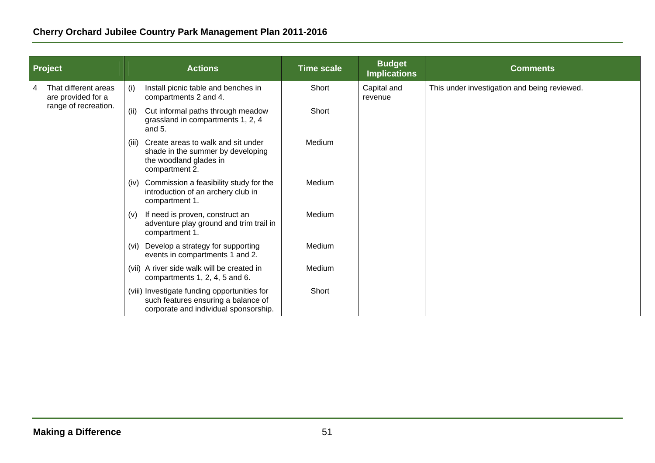|  | Project                                    |                   | <b>Actions</b>                                                                                                               | <b>Time scale</b> | <b>Budget</b><br><b>Implications</b> | <b>Comments</b>                              |
|--|--------------------------------------------|-------------------|------------------------------------------------------------------------------------------------------------------------------|-------------------|--------------------------------------|----------------------------------------------|
|  | That different areas<br>are provided for a | (i)               | Install picnic table and benches in<br>compartments 2 and 4.                                                                 | Short             | Capital and<br>revenue               | This under investigation and being reviewed. |
|  | range of recreation.                       | (ii)              | Cut informal paths through meadow<br>grassland in compartments 1, 2, 4<br>and $5.$                                           | Short             |                                      |                                              |
|  |                                            | (III)             | Create areas to walk and sit under<br>shade in the summer by developing<br>the woodland glades in<br>compartment 2.          | Medium            |                                      |                                              |
|  |                                            | (iv)              | Commission a feasibility study for the<br>introduction of an archery club in<br>compartment 1.                               | Medium            |                                      |                                              |
|  |                                            | (V)               | If need is proven, construct an<br>adventure play ground and trim trail in<br>compartment 1.                                 | Medium            |                                      |                                              |
|  |                                            | (v <sub>i</sub> ) | Develop a strategy for supporting<br>events in compartments 1 and 2.                                                         | Medium            |                                      |                                              |
|  |                                            |                   | (vii) A river side walk will be created in<br>compartments 1, 2, 4, 5 and 6.                                                 | Medium            |                                      |                                              |
|  |                                            |                   | (viii) Investigate funding opportunities for<br>such features ensuring a balance of<br>corporate and individual sponsorship. | Short             |                                      |                                              |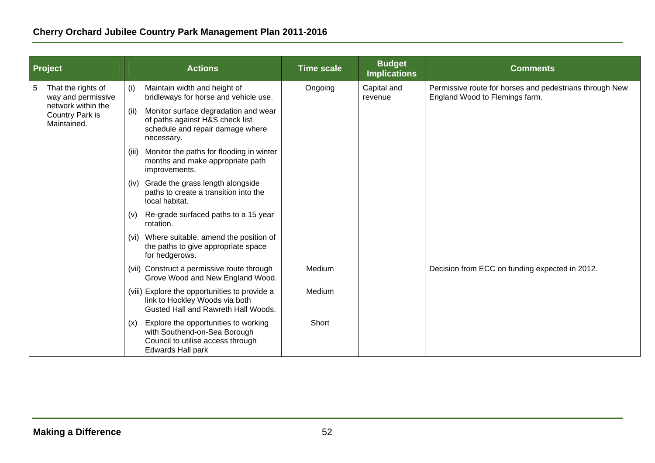| Project |                                                      | <b>Actions</b> |                                                                                                                                       | <b>Time scale</b> | <b>Budget</b><br><b>Implications</b> | <b>Comments</b>                                                                           |
|---------|------------------------------------------------------|----------------|---------------------------------------------------------------------------------------------------------------------------------------|-------------------|--------------------------------------|-------------------------------------------------------------------------------------------|
| 5       | That the rights of<br>way and permissive             | (i)            | Maintain width and height of<br>bridleways for horse and vehicle use.                                                                 | Ongoing           | Capital and<br>revenue               | Permissive route for horses and pedestrians through New<br>England Wood to Flemings farm. |
|         | network within the<br>Country Park is<br>Maintained. | (ii)           | Monitor surface degradation and wear<br>of paths against H&S check list<br>schedule and repair damage where<br>necessary.             |                   |                                      |                                                                                           |
|         |                                                      | (iii)          | Monitor the paths for flooding in winter<br>months and make appropriate path<br>improvements.                                         |                   |                                      |                                                                                           |
|         |                                                      |                | (iv) Grade the grass length alongside<br>paths to create a transition into the<br>local habitat.                                      |                   |                                      |                                                                                           |
|         |                                                      | (v)            | Re-grade surfaced paths to a 15 year<br>rotation.                                                                                     |                   |                                      |                                                                                           |
|         |                                                      | (vi)           | Where suitable, amend the position of<br>the paths to give appropriate space<br>for hedgerows.                                        |                   |                                      |                                                                                           |
|         |                                                      |                | (vii) Construct a permissive route through<br>Grove Wood and New England Wood.                                                        | Medium            |                                      | Decision from ECC on funding expected in 2012.                                            |
|         |                                                      |                | (viii) Explore the opportunities to provide a<br>link to Hockley Woods via both<br>Gusted Hall and Rawreth Hall Woods.                | Medium            |                                      |                                                                                           |
|         |                                                      | (x)            | Explore the opportunities to working<br>with Southend-on-Sea Borough<br>Council to utilise access through<br><b>Edwards Hall park</b> | Short             |                                      |                                                                                           |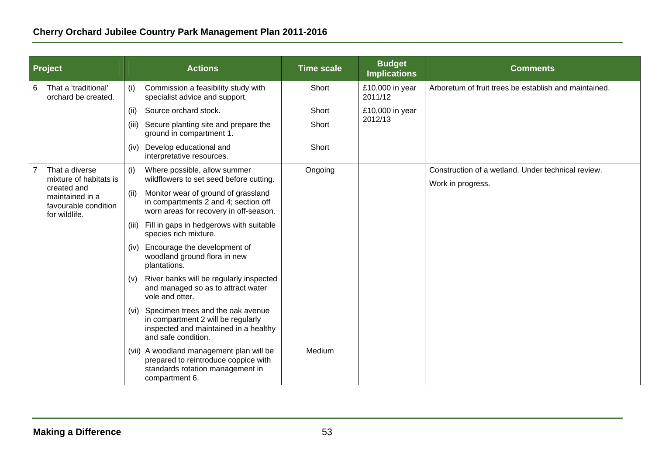| <b>Project</b> |                                                                         | <b>Actions</b>        |                                                                                                                                         | <b>Time scale</b> | <b>Budget</b><br><b>Implications</b> | <b>Comments</b>                                                         |
|----------------|-------------------------------------------------------------------------|-----------------------|-----------------------------------------------------------------------------------------------------------------------------------------|-------------------|--------------------------------------|-------------------------------------------------------------------------|
| 6              | That a 'traditional'<br>orchard be created.                             | (i)                   | Commission a feasibility study with<br>specialist advice and support.                                                                   | Short             | £10,000 in year<br>2011/12           | Arboretum of fruit trees be establish and maintained.                   |
|                |                                                                         | (ii)                  | Source orchard stock.                                                                                                                   | Short             | £10,000 in year                      |                                                                         |
|                |                                                                         | (iii)                 | Secure planting site and prepare the<br>ground in compartment 1.                                                                        | Short             | 2012/13                              |                                                                         |
|                |                                                                         | (iv)                  | Develop educational and<br>interpretative resources.                                                                                    | Short             |                                      |                                                                         |
|                | That a diverse<br>mixture of habitats is                                | (i)                   | Where possible, allow summer<br>wildflowers to set seed before cutting.                                                                 | Ongoing           |                                      | Construction of a wetland. Under technical review.<br>Work in progress. |
|                | created and<br>maintained in a<br>favourable condition<br>for wildlife. | (ii)<br>(iii)<br>(iv) | Monitor wear of ground of grassland<br>in compartments 2 and 4; section off<br>worn areas for recovery in off-season.                   |                   |                                      |                                                                         |
|                |                                                                         |                       | Fill in gaps in hedgerows with suitable<br>species rich mixture.                                                                        |                   |                                      |                                                                         |
|                |                                                                         |                       | Encourage the development of<br>woodland ground flora in new<br>plantations.                                                            |                   |                                      |                                                                         |
|                |                                                                         | (V)                   | River banks will be regularly inspected<br>and managed so as to attract water<br>vole and otter.                                        |                   |                                      |                                                                         |
|                |                                                                         | (vi)                  | Specimen trees and the oak avenue<br>in compartment 2 will be regularly<br>inspected and maintained in a healthy<br>and safe condition. |                   |                                      |                                                                         |
|                |                                                                         |                       | (vii) A woodland management plan will be<br>prepared to reintroduce coppice with<br>standards rotation management in<br>compartment 6.  | Medium            |                                      |                                                                         |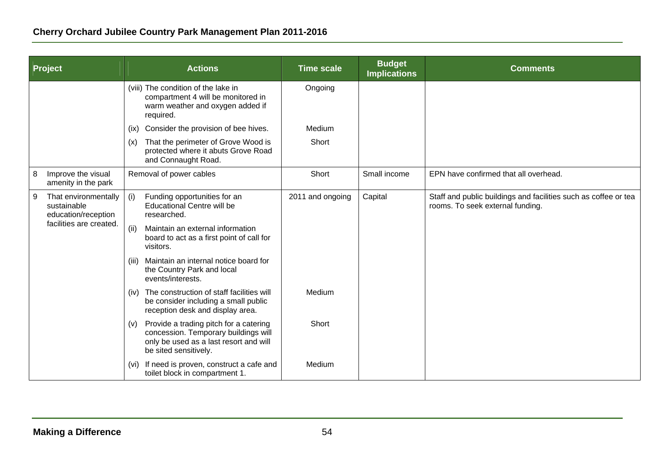| Project |                                                            |       | <b>Actions</b>                                                                                                                                    | <b>Time scale</b> | <b>Budget</b><br><b>Implications</b> | <b>Comments</b>                                                                                     |
|---------|------------------------------------------------------------|-------|---------------------------------------------------------------------------------------------------------------------------------------------------|-------------------|--------------------------------------|-----------------------------------------------------------------------------------------------------|
|         |                                                            |       | (viii) The condition of the lake in<br>compartment 4 will be monitored in<br>warm weather and oxygen added if<br>required.                        | Ongoing           |                                      |                                                                                                     |
|         |                                                            | (ix)  | Consider the provision of bee hives.                                                                                                              | <b>Medium</b>     |                                      |                                                                                                     |
|         |                                                            | (x)   | That the perimeter of Grove Wood is<br>protected where it abuts Grove Road<br>and Connaught Road.                                                 | Short             |                                      |                                                                                                     |
| 8       | Improve the visual<br>amenity in the park                  |       | Removal of power cables                                                                                                                           | Short             | Small income                         | EPN have confirmed that all overhead.                                                               |
| 9       | That environmentally<br>sustainable<br>education/reception | (i)   | Funding opportunities for an<br><b>Educational Centre will be</b><br>researched.                                                                  | 2011 and ongoing  | Capital                              | Staff and public buildings and facilities such as coffee or tea<br>rooms. To seek external funding. |
|         | facilities are created.                                    | (ii)  | Maintain an external information<br>board to act as a first point of call for<br>visitors.                                                        |                   |                                      |                                                                                                     |
|         |                                                            | (iii) | Maintain an internal notice board for<br>the Country Park and local<br>events/interests.                                                          |                   |                                      |                                                                                                     |
|         |                                                            | (iv)  | The construction of staff facilities will<br>be consider including a small public<br>reception desk and display area.                             | Medium            |                                      |                                                                                                     |
|         |                                                            | (v)   | Provide a trading pitch for a catering<br>concession. Temporary buildings will<br>only be used as a last resort and will<br>be sited sensitively. | Short             |                                      |                                                                                                     |
|         |                                                            | (vi)  | If need is proven, construct a cafe and<br>toilet block in compartment 1.                                                                         | Medium            |                                      |                                                                                                     |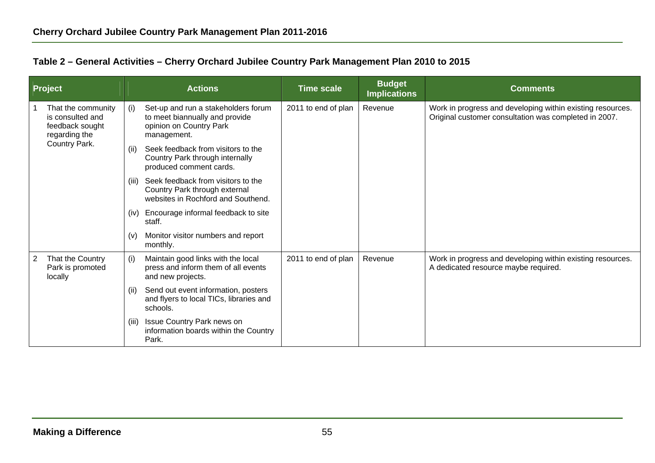|  |  | Table 2 - General Activities - Cherry Orchard Jubilee Country Park Management Plan 2010 to 2015 |
|--|--|-------------------------------------------------------------------------------------------------|
|--|--|-------------------------------------------------------------------------------------------------|

| <b>Project</b> |                                                                            |       | <b>Actions</b>                                                                                                  | <b>Time scale</b>   | <b>Budget</b><br><b>Implications</b> | <b>Comments</b>                                                                                                     |
|----------------|----------------------------------------------------------------------------|-------|-----------------------------------------------------------------------------------------------------------------|---------------------|--------------------------------------|---------------------------------------------------------------------------------------------------------------------|
|                | That the community<br>is consulted and<br>feedback sought<br>regarding the | (i)   | Set-up and run a stakeholders forum<br>to meet biannually and provide<br>opinion on Country Park<br>management. | 2011 to end of plan | Revenue                              | Work in progress and developing within existing resources.<br>Original customer consultation was completed in 2007. |
|                | Country Park.                                                              | (ii)  | Seek feedback from visitors to the<br>Country Park through internally<br>produced comment cards.                |                     |                                      |                                                                                                                     |
|                |                                                                            | (iii) | Seek feedback from visitors to the<br>Country Park through external<br>websites in Rochford and Southend.       |                     |                                      |                                                                                                                     |
|                |                                                                            | (iv)  | Encourage informal feedback to site<br>staff.                                                                   |                     |                                      |                                                                                                                     |
|                |                                                                            | (v)   | Monitor visitor numbers and report<br>monthly.                                                                  |                     |                                      |                                                                                                                     |
| 2              | That the Country<br>Park is promoted<br>locally                            | (i)   | Maintain good links with the local<br>press and inform them of all events<br>and new projects.                  | 2011 to end of plan | Revenue                              | Work in progress and developing within existing resources.<br>A dedicated resource maybe required.                  |
|                |                                                                            | (ii)  | Send out event information, posters<br>and flyers to local TICs, libraries and<br>schools.                      |                     |                                      |                                                                                                                     |
|                |                                                                            | (iii) | Issue Country Park news on<br>information boards within the Country<br>Park.                                    |                     |                                      |                                                                                                                     |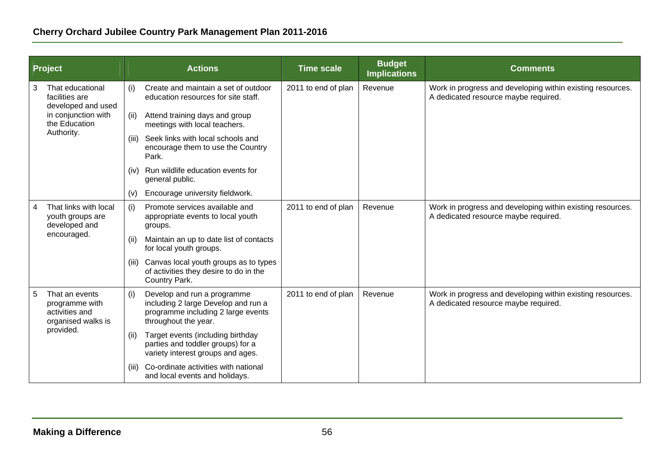| Project |                                                                                                                | <b>Actions</b> |                                                                                                                                  | <b>Time scale</b>   | <b>Budget</b><br><b>Implications</b> | <b>Comments</b>                                                                                    |
|---------|----------------------------------------------------------------------------------------------------------------|----------------|----------------------------------------------------------------------------------------------------------------------------------|---------------------|--------------------------------------|----------------------------------------------------------------------------------------------------|
| 3       | That educational<br>facilities are<br>developed and used<br>in conjunction with<br>the Education<br>Authority. | (i)            | Create and maintain a set of outdoor<br>education resources for site staff.                                                      | 2011 to end of plan | Revenue                              | Work in progress and developing within existing resources.<br>A dedicated resource maybe required. |
|         |                                                                                                                | (ii)           | Attend training days and group<br>meetings with local teachers.                                                                  |                     |                                      |                                                                                                    |
|         |                                                                                                                | (iii)          | Seek links with local schools and<br>encourage them to use the Country<br>Park.                                                  |                     |                                      |                                                                                                    |
|         |                                                                                                                | (iv)           | Run wildlife education events for<br>general public.                                                                             |                     |                                      |                                                                                                    |
|         |                                                                                                                | (v)            | Encourage university fieldwork.                                                                                                  |                     |                                      |                                                                                                    |
| 4       | That links with local<br>youth groups are<br>developed and<br>encouraged.                                      | (i)            | Promote services available and<br>appropriate events to local youth<br>groups.                                                   | 2011 to end of plan | Revenue                              | Work in progress and developing within existing resources.<br>A dedicated resource maybe required. |
|         |                                                                                                                | (ii)           | Maintain an up to date list of contacts<br>for local youth groups.                                                               |                     |                                      |                                                                                                    |
|         |                                                                                                                | (iii)          | Canvas local youth groups as to types<br>of activities they desire to do in the<br>Country Park.                                 |                     |                                      |                                                                                                    |
| 5       | That an events<br>programme with<br>activities and<br>organised walks is<br>provided.                          | (i)            | Develop and run a programme<br>including 2 large Develop and run a<br>programme including 2 large events<br>throughout the year. | 2011 to end of plan | Revenue                              | Work in progress and developing within existing resources.<br>A dedicated resource maybe required. |
|         |                                                                                                                | (ii)           | Target events (including birthday<br>parties and toddler groups) for a<br>variety interest groups and ages.                      |                     |                                      |                                                                                                    |
|         |                                                                                                                | (iii)          | Co-ordinate activities with national<br>and local events and holidays.                                                           |                     |                                      |                                                                                                    |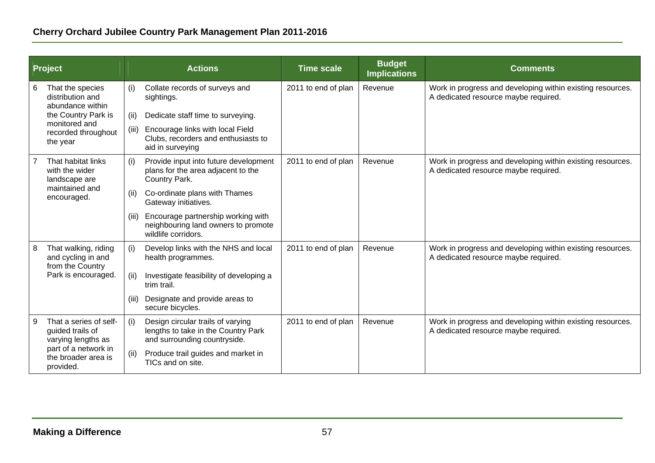|   | Project                                                                                                                      |       | <b>Actions</b>                                                                                           | <b>Time scale</b>   | <b>Budget</b><br><b>Implications</b> | <b>Comments</b>                                                                                    |
|---|------------------------------------------------------------------------------------------------------------------------------|-------|----------------------------------------------------------------------------------------------------------|---------------------|--------------------------------------|----------------------------------------------------------------------------------------------------|
| 6 | That the species<br>distribution and<br>abundance within                                                                     | (i)   | Collate records of surveys and<br>sightings.                                                             | 2011 to end of plan | Revenue                              | Work in progress and developing within existing resources.<br>A dedicated resource maybe required. |
|   | the Country Park is<br>monitored and<br>recorded throughout<br>the year                                                      | (ii)  | Dedicate staff time to surveying.                                                                        |                     |                                      |                                                                                                    |
|   |                                                                                                                              | (iii) | Encourage links with local Field<br>Clubs, recorders and enthusiasts to<br>aid in surveying              |                     |                                      |                                                                                                    |
|   | That habitat links<br>with the wider<br>landscape are                                                                        | (i)   | Provide input into future development<br>plans for the area adjacent to the<br>Country Park.             | 2011 to end of plan | Revenue                              | Work in progress and developing within existing resources.<br>A dedicated resource maybe required. |
|   | maintained and<br>encouraged.                                                                                                | (ii)  | Co-ordinate plans with Thames<br>Gateway initiatives.                                                    |                     |                                      |                                                                                                    |
|   |                                                                                                                              | (iii) | Encourage partnership working with<br>neighbouring land owners to promote<br>wildlife corridors.         |                     |                                      |                                                                                                    |
| 8 | That walking, riding<br>and cycling in and<br>from the Country                                                               | (i)   | Develop links with the NHS and local<br>health programmes.                                               | 2011 to end of plan | Revenue                              | Work in progress and developing within existing resources.<br>A dedicated resource maybe required. |
|   | Park is encouraged.                                                                                                          | (ii)  | Investigate feasibility of developing a<br>trim trail.                                                   |                     |                                      |                                                                                                    |
|   |                                                                                                                              | (iii) | Designate and provide areas to<br>secure bicycles.                                                       |                     |                                      |                                                                                                    |
| 9 | That a series of self-<br>guided trails of<br>varying lengths as<br>part of a network in<br>the broader area is<br>provided. | (i)   | Design circular trails of varying<br>lengths to take in the Country Park<br>and surrounding countryside. | 2011 to end of plan | Revenue                              | Work in progress and developing within existing resources.<br>A dedicated resource maybe required. |
|   |                                                                                                                              | (ii)  | Produce trail guides and market in<br>TICs and on site.                                                  |                     |                                      |                                                                                                    |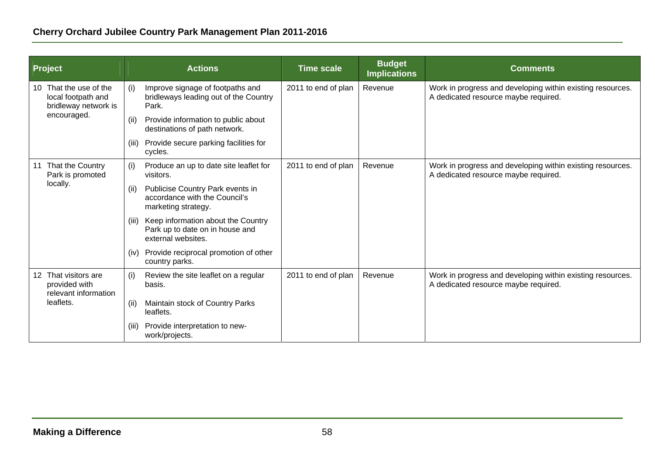| <b>Project</b> |                                                                                  |       | <b>Actions</b>                                                                              | <b>Time scale</b>   | <b>Budget</b><br><b>Implications</b> | <b>Comments</b>                                                                                    |
|----------------|----------------------------------------------------------------------------------|-------|---------------------------------------------------------------------------------------------|---------------------|--------------------------------------|----------------------------------------------------------------------------------------------------|
| 10             | That the use of the<br>local footpath and<br>bridleway network is<br>encouraged. | (i)   | Improve signage of footpaths and<br>bridleways leading out of the Country<br>Park.          | 2011 to end of plan | Revenue                              | Work in progress and developing within existing resources.<br>A dedicated resource maybe required. |
|                |                                                                                  | (ii)  | Provide information to public about<br>destinations of path network.                        |                     |                                      |                                                                                                    |
|                |                                                                                  | (iii) | Provide secure parking facilities for<br>cycles.                                            |                     |                                      |                                                                                                    |
| 11             | That the Country<br>Park is promoted<br>locally.                                 | (i)   | Produce an up to date site leaflet for<br>visitors.                                         | 2011 to end of plan | Revenue                              | Work in progress and developing within existing resources.<br>A dedicated resource maybe required. |
|                |                                                                                  | (ii)  | Publicise Country Park events in<br>accordance with the Council's<br>marketing strategy.    |                     |                                      |                                                                                                    |
|                |                                                                                  | (iii) | Keep information about the Country<br>Park up to date on in house and<br>external websites. |                     |                                      |                                                                                                    |
|                |                                                                                  | (iv)  | Provide reciprocal promotion of other<br>country parks.                                     |                     |                                      |                                                                                                    |
|                | 12 That visitors are<br>provided with<br>relevant information<br>leaflets.       | (i)   | Review the site leaflet on a regular<br>basis.                                              | 2011 to end of plan | Revenue                              | Work in progress and developing within existing resources.<br>A dedicated resource maybe required. |
|                |                                                                                  | (ii)  | Maintain stock of Country Parks<br>leaflets.                                                |                     |                                      |                                                                                                    |
|                |                                                                                  | (iii) | Provide interpretation to new-<br>work/projects.                                            |                     |                                      |                                                                                                    |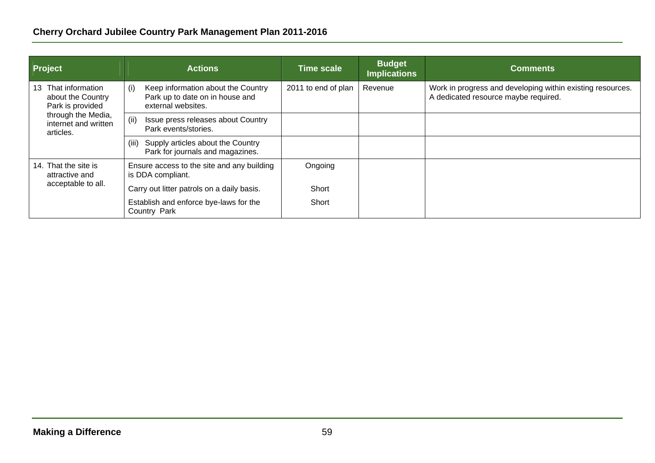| <b>Project</b>                                                  | <b>Actions</b>                                                                                     | <b>Time scale</b>   | <b>Budget</b><br><b>Implications</b> | <b>Comments</b>                                                                                    |
|-----------------------------------------------------------------|----------------------------------------------------------------------------------------------------|---------------------|--------------------------------------|----------------------------------------------------------------------------------------------------|
| That information<br>13<br>about the Country<br>Park is provided | Keep information about the Country<br>(i)<br>Park up to date on in house and<br>external websites. | 2011 to end of plan | Revenue                              | Work in progress and developing within existing resources.<br>A dedicated resource maybe required. |
| through the Media,<br>internet and written<br>articles.         | (ii)<br>Issue press releases about Country<br>Park events/stories.                                 |                     |                                      |                                                                                                    |
|                                                                 | Supply articles about the Country<br>(iii)<br>Park for journals and magazines.                     |                     |                                      |                                                                                                    |
| 14. That the site is<br>attractive and                          | Ensure access to the site and any building<br>is DDA compliant.                                    | Ongoing             |                                      |                                                                                                    |
| acceptable to all.                                              | Carry out litter patrols on a daily basis.                                                         | Short               |                                      |                                                                                                    |
|                                                                 | Establish and enforce bye-laws for the<br>Country Park                                             | Short               |                                      |                                                                                                    |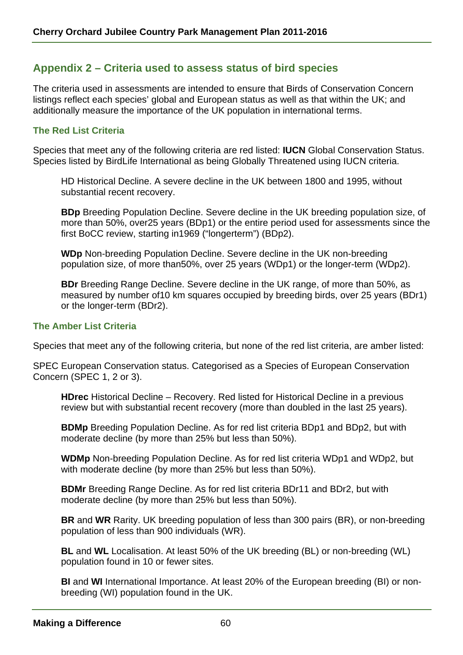# **Appendix 2 – Criteria used to assess status of bird species**

The criteria used in assessments are intended to ensure that Birds of Conservation Concern listings reflect each species' global and European status as well as that within the UK; and additionally measure the importance of the UK population in international terms.

## **The Red List Criteria**

Species that meet any of the following criteria are red listed: **IUCN** Global Conservation Status. Species listed by BirdLife International as being Globally Threatened using IUCN criteria.

HD Historical Decline. A severe decline in the UK between 1800 and 1995, without substantial recent recovery.

**BDp** Breeding Population Decline. Severe decline in the UK breeding population size, of more than 50%, over25 years (BDp1) or the entire period used for assessments since the first BoCC review, starting in1969 ("longerterm") (BDp2).

**WDp** Non-breeding Population Decline. Severe decline in the UK non-breeding population size, of more than50%, over 25 years (WDp1) or the longer-term (WDp2).

**BDr** Breeding Range Decline. Severe decline in the UK range, of more than 50%, as measured by number of10 km squares occupied by breeding birds, over 25 years (BDr1) or the longer-term (BDr2).

#### **The Amber List Criteria**

Species that meet any of the following criteria, but none of the red list criteria, are amber listed:

SPEC European Conservation status. Categorised as a Species of European Conservation Concern (SPEC 1, 2 or 3).

**HDrec** Historical Decline – Recovery. Red listed for Historical Decline in a previous review but with substantial recent recovery (more than doubled in the last 25 years).

**BDMp** Breeding Population Decline. As for red list criteria BDp1 and BDp2, but with moderate decline (by more than 25% but less than 50%).

**WDMp** Non-breeding Population Decline. As for red list criteria WDp1 and WDp2, but with moderate decline (by more than 25% but less than 50%).

**BDMr** Breeding Range Decline. As for red list criteria BDr11 and BDr2, but with moderate decline (by more than 25% but less than 50%).

**BR** and **WR** Rarity. UK breeding population of less than 300 pairs (BR), or non-breeding population of less than 900 individuals (WR).

**BL** and **WL** Localisation. At least 50% of the UK breeding (BL) or non-breeding (WL) population found in 10 or fewer sites.

**BI** and **WI** International Importance. At least 20% of the European breeding (BI) or nonbreeding (WI) population found in the UK.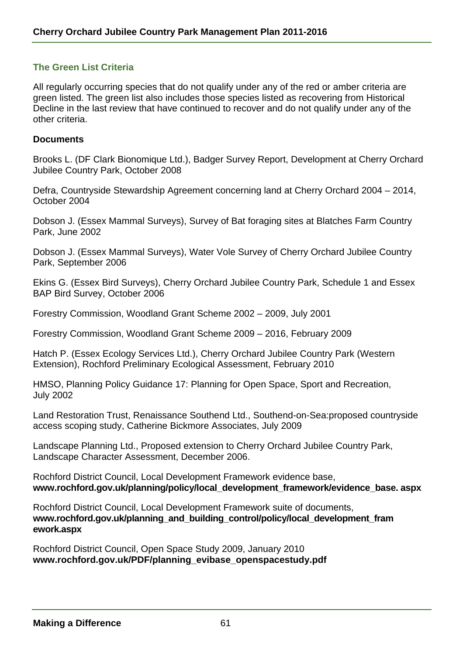## **The Green List Criteria**

All regularly occurring species that do not qualify under any of the red or amber criteria are green listed. The green list also includes those species listed as recovering from Historical Decline in the last review that have continued to recover and do not qualify under any of the other criteria.

#### **Documents**

Brooks L. (DF Clark Bionomique Ltd.), Badger Survey Report, Development at Cherry Orchard Jubilee Country Park, October 2008

Defra, Countryside Stewardship Agreement concerning land at Cherry Orchard 2004 – 2014, October 2004

Dobson J. (Essex Mammal Surveys), Survey of Bat foraging sites at Blatches Farm Country Park, June 2002

Dobson J. (Essex Mammal Surveys), Water Vole Survey of Cherry Orchard Jubilee Country Park, September 2006

Ekins G. (Essex Bird Surveys), Cherry Orchard Jubilee Country Park, Schedule 1 and Essex BAP Bird Survey, October 2006

Forestry Commission, Woodland Grant Scheme 2002 – 2009, July 2001

Forestry Commission, Woodland Grant Scheme 2009 – 2016, February 2009

Hatch P. (Essex Ecology Services Ltd.), Cherry Orchard Jubilee Country Park (Western Extension), Rochford Preliminary Ecological Assessment, February 2010

HMSO, Planning Policy Guidance 17: Planning for Open Space, Sport and Recreation, July 2002

Land Restoration Trust, Renaissance Southend Ltd., Southend-on-Sea:proposed countryside access scoping study, Catherine Bickmore Associates, July 2009

Landscape Planning Ltd., Proposed extension to Cherry Orchard Jubilee Country Park, Landscape Character Assessment, December 2006.

Rochford District Council, Local Development Framework evidence base, **www.rochford.gov.uk/planning/policy/local\_development\_framework/evidence\_base. aspx** 

Rochford District Council, Local Development Framework suite of documents, **www.rochford.gov.uk/planning\_and\_building\_control/policy/local\_development\_fram ework.aspx**

Rochford District Council, Open Space Study 2009, January 2010 **www.rochford.gov.uk/PDF/planning\_evibase\_openspacestudy.pdf**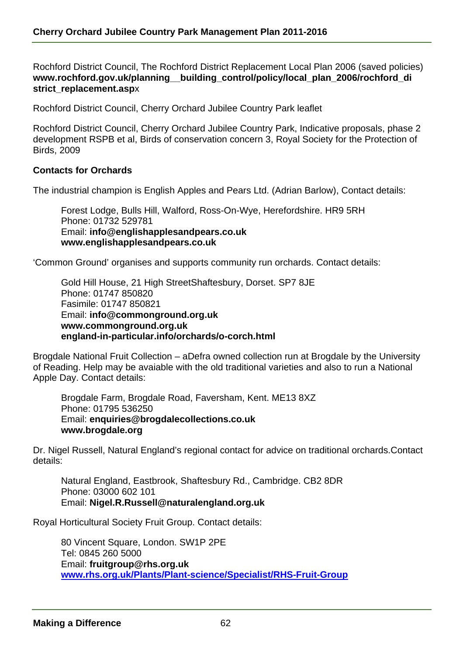Rochford District Council, The Rochford District Replacement Local Plan 2006 (saved policies) **www.rochford.gov.uk/planning\_\_building\_control/policy/local\_plan\_2006/rochford\_di strict\_replacement.asp**x

Rochford District Council, Cherry Orchard Jubilee Country Park leaflet

Rochford District Council, Cherry Orchard Jubilee Country Park, Indicative proposals, phase 2 development RSPB et al, Birds of conservation concern 3, Royal Society for the Protection of Birds, 2009

#### **Contacts for Orchards**

The industrial champion is English Apples and Pears Ltd. (Adrian Barlow), Contact details:

Forest Lodge, Bulls Hill, Walford, Ross-On-Wye, Herefordshire. HR9 5RH Phone: 01732 529781 Email: **info@englishapplesandpears.co.uk www.englishapplesandpears.co.uk** 

'Common Ground' organises and supports community run orchards. Contact details:

Gold Hill House, 21 High StreetShaftesbury, Dorset. SP7 8JE Phone: 01747 850820 Fasimile: 01747 850821 Email: **info@commonground.org.uk www.commonground.org.uk england-in-particular.info/orchards/o-corch.html** 

Brogdale National Fruit Collection – aDefra owned collection run at Brogdale by the University of Reading. Help may be avaiable with the old traditional varieties and also to run a National Apple Day. Contact details:

Brogdale Farm, Brogdale Road, Faversham, Kent. ME13 8XZ Phone: 01795 536250 Email: **enquiries@brogdalecollections.co.uk www.brogdale.org** 

Dr. Nigel Russell, Natural England's regional contact for advice on traditional orchards.Contact details:

Natural England, Eastbrook, Shaftesbury Rd., Cambridge. CB2 8DR Phone: 03000 602 101 Email: **Nigel.R.Russell@naturalengland.org.uk**

Royal Horticultural Society Fruit Group. Contact details:

80 Vincent Square, London. SW1P 2PE Tel: 0845 260 5000 Email: **fruitgroup@rhs.org.uk www.rhs.org.uk/Plants/Plant-science/Specialist/RHS-Fruit-Group**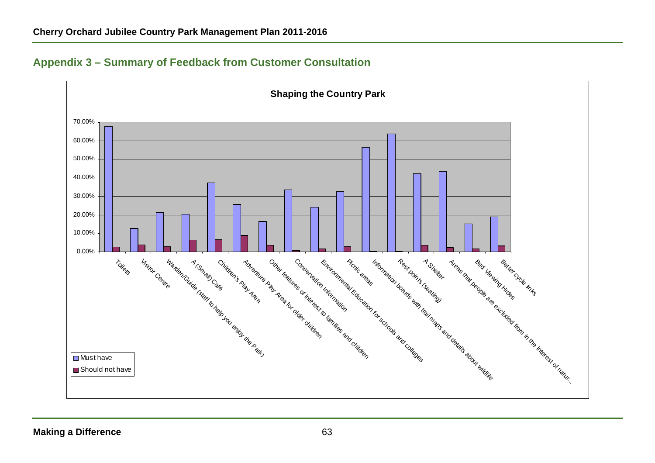

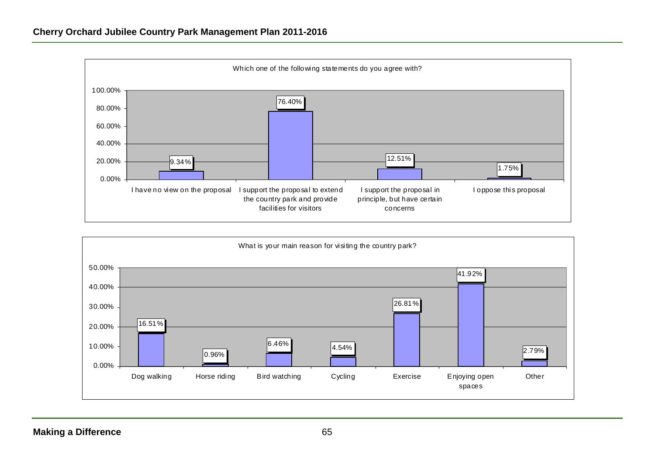

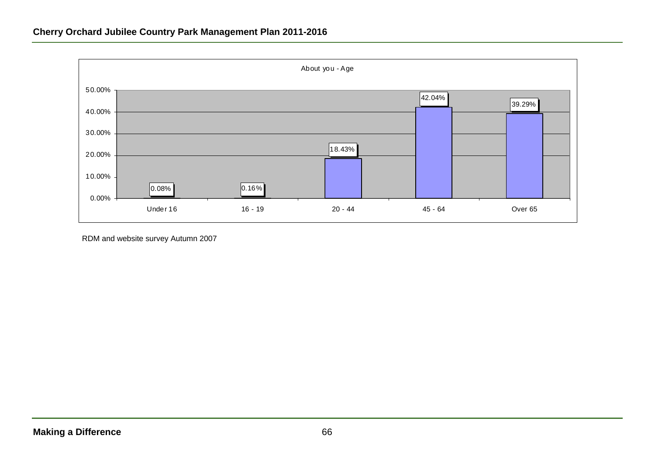

RDM and website survey Autumn 2007